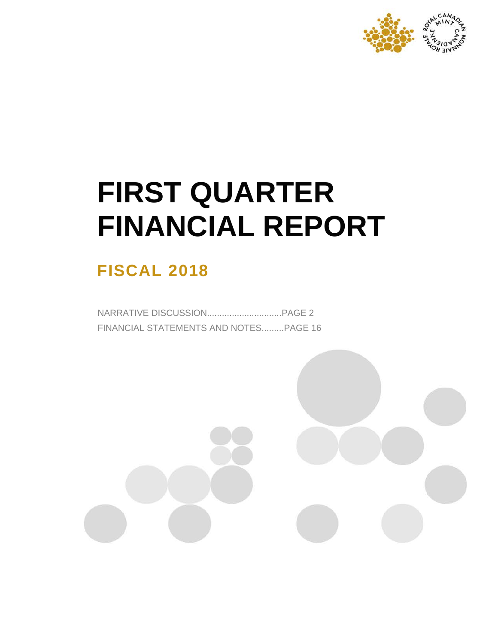

# **FIRST QUARTER FINANCIAL REPORT**

# **FISCAL 2018**

NARRATIVE DISCUSSION..............................PAGE 2 FINANCIAL STATEMENTS AND NOTES.........PAGE 16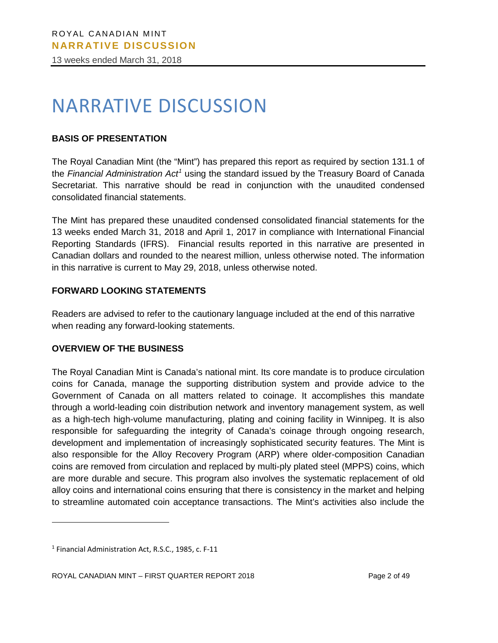13 weeks ended March 31, 2018

# NARRATIVE DISCUSSION

# **BASIS OF PRESENTATION**

The Royal Canadian Mint (the "Mint") has prepared this report as required by section 131.1 of the *Financial Administration Act[1](#page-1-0)* using the standard issued by the Treasury Board of Canada Secretariat. This narrative should be read in conjunction with the unaudited condensed consolidated financial statements.

The Mint has prepared these unaudited condensed consolidated financial statements for the 13 weeks ended March 31, 2018 and April 1, 2017 in compliance with International Financial Reporting Standards (IFRS). Financial results reported in this narrative are presented in Canadian dollars and rounded to the nearest million, unless otherwise noted. The information in this narrative is current to May 29, 2018, unless otherwise noted.

#### **FORWARD LOOKING STATEMENTS**

Readers are advised to refer to the cautionary language included at the end of this narrative when reading any forward-looking statements.

#### **OVERVIEW OF THE BUSINESS**

The Royal Canadian Mint is Canada's national mint. Its core mandate is to produce circulation coins for Canada, manage the supporting distribution system and provide advice to the Government of Canada on all matters related to coinage. It accomplishes this mandate through a world-leading coin distribution network and inventory management system, as well as a high-tech high-volume manufacturing, plating and coining facility in Winnipeg. It is also responsible for safeguarding the integrity of Canada's coinage through ongoing research, development and implementation of increasingly sophisticated security features. The Mint is also responsible for the Alloy Recovery Program (ARP) where older-composition Canadian coins are removed from circulation and replaced by multi-ply plated steel (MPPS) coins, which are more durable and secure. This program also involves the systematic replacement of old alloy coins and international coins ensuring that there is consistency in the market and helping to streamline automated coin acceptance transactions. The Mint's activities also include the

 $\overline{a}$ 

<span id="page-1-0"></span><sup>1</sup> Financial Administration Act, R.S.C., 1985, c. F-11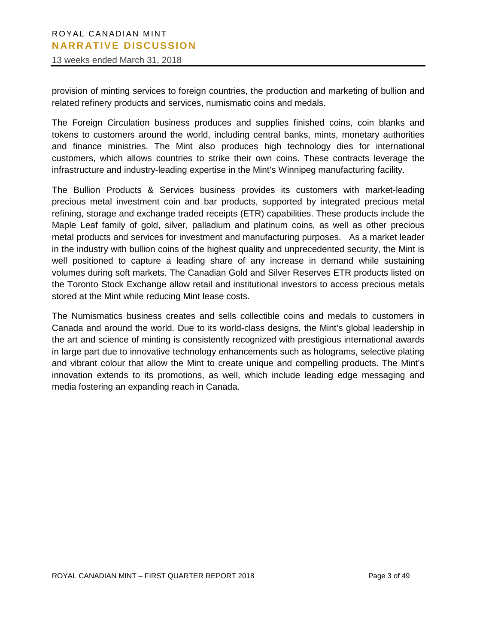13 weeks ended March 31, 2018

provision of minting services to foreign countries, the production and marketing of bullion and related refinery products and services, numismatic coins and medals.

The Foreign Circulation business produces and supplies finished coins, coin blanks and tokens to customers around the world, including central banks, mints, monetary authorities and finance ministries. The Mint also produces high technology dies for international customers, which allows countries to strike their own coins. These contracts leverage the infrastructure and industry-leading expertise in the Mint's Winnipeg manufacturing facility.

The Bullion Products & Services business provides its customers with market-leading precious metal investment coin and bar products, supported by integrated precious metal refining, storage and exchange traded receipts (ETR) capabilities. These products include the Maple Leaf family of gold, silver, palladium and platinum coins, as well as other precious metal products and services for investment and manufacturing purposes. As a market leader in the industry with bullion coins of the highest quality and unprecedented security, the Mint is well positioned to capture a leading share of any increase in demand while sustaining volumes during soft markets. The Canadian Gold and Silver Reserves ETR products listed on the Toronto Stock Exchange allow retail and institutional investors to access precious metals stored at the Mint while reducing Mint lease costs.

Canada and around the world. Due to its world-class designs, the Mint's global leadership in The Numismatics business creates and sells collectible coins and medals to customers in the art and science of minting is consistently recognized with prestigious international awards in large part due to innovative technology enhancements such as holograms, selective plating and vibrant colour that allow the Mint to create unique and compelling products. The Mint's innovation extends to its promotions, as well, which include leading edge messaging and media fostering an expanding reach in Canada.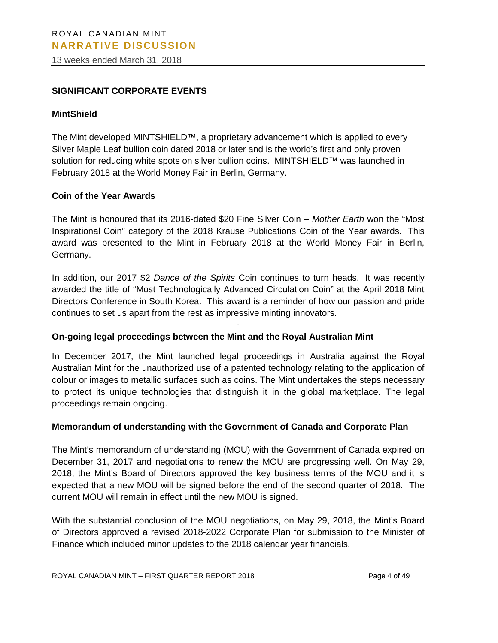13 weeks ended March 31, 2018

#### **SIGNIFICANT CORPORATE EVENTS**

#### **MintShield**

The Mint developed MINTSHIELD™, a proprietary advancement which is applied to every Silver Maple Leaf bullion coin dated 2018 or later and is the world's first and only proven solution for reducing white spots on silver bullion coins. MINTSHIELD™ was launched in February 2018 at the World Money Fair in Berlin, Germany.

#### **Coin of the Year Awards**

The Mint is honoured that its 2016-dated \$20 Fine Silver Coin – *Mother Earth* won the "Most Inspirational Coin" category of the 2018 Krause Publications Coin of the Year awards. This award was presented to the Mint in February 2018 at the World Money Fair in Berlin, Germany.

In addition, our 2017 \$2 *Dance of the Spirits* Coin continues to turn heads. It was recently awarded the title of "Most Technologically Advanced Circulation Coin" at the April 2018 Mint Directors Conference in South Korea. This award is a reminder of how our passion and pride continues to set us apart from the rest as impressive minting innovators.

#### **On-going legal proceedings between the Mint and the Royal Australian Mint**

In December 2017, the Mint launched legal proceedings in Australia against the Royal Australian Mint for the unauthorized use of a patented technology relating to the application of colour or images to metallic surfaces such as coins. The Mint undertakes the steps necessary to protect its unique technologies that distinguish it in the global marketplace. The legal proceedings remain ongoing.

#### **Memorandum of understanding with the Government of Canada and Corporate Plan**

The Mint's memorandum of understanding (MOU) with the Government of Canada expired on December 31, 2017 and negotiations to renew the MOU are progressing well. On May 29, 2018, the Mint's Board of Directors approved the key business terms of the MOU and it is expected that a new MOU will be signed before the end of the second quarter of 2018. The current MOU will remain in effect until the new MOU is signed.

With the substantial conclusion of the MOU negotiations, on May 29, 2018, the Mint's Board of Directors approved a revised 2018-2022 Corporate Plan for submission to the Minister of Finance which included minor updates to the 2018 calendar year financials.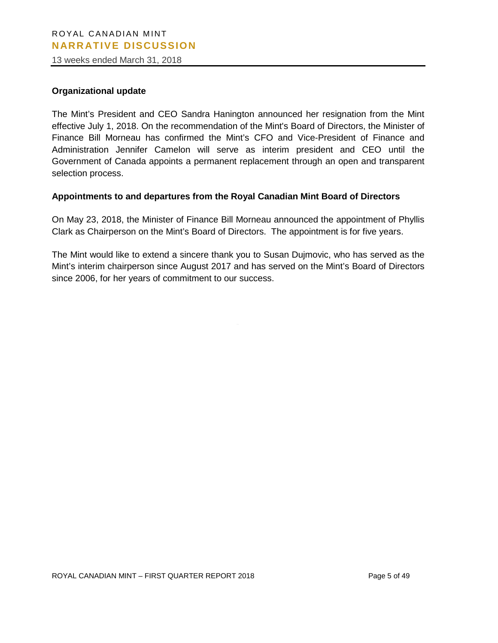13 weeks ended March 31, 2018

#### **Organizational update**

The Mint's President and CEO Sandra Hanington announced her resignation from the Mint effective July 1, 2018. On the recommendation of the Mint's Board of Directors, the Minister of Finance Bill Morneau has confirmed the Mint's CFO and Vice-President of Finance and Administration Jennifer Camelon will serve as interim president and CEO until the Government of Canada appoints a permanent replacement through an open and transparent selection process.

#### **Appointments to and departures from the Royal Canadian Mint Board of Directors**

On May 23, 2018, the Minister of Finance Bill Morneau announced the appointment of Phyllis Clark as Chairperson on the Mint's Board of Directors. The appointment is for five years.

The Mint would like to extend a sincere thank you to Susan Dujmovic, who has served as the Mint's interim chairperson since August 2017 and has served on the Mint's Board of Directors since 2006, for her years of commitment to our success.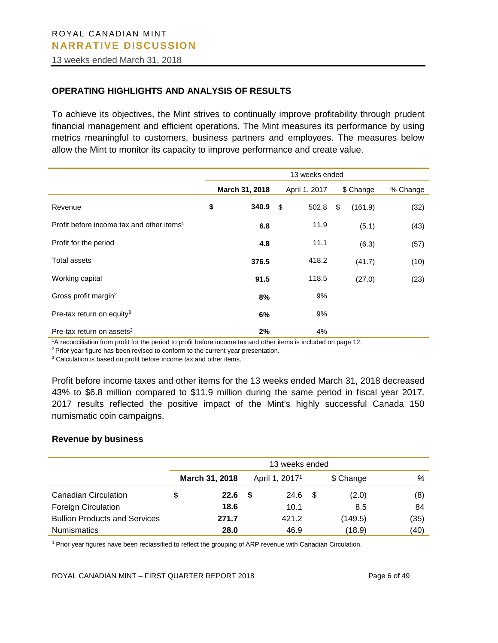13 weeks ended March 31, 2018

#### **OPERATING HIGHLIGHTS AND ANALYSIS OF RESULTS**

To achieve its objectives, the Mint strives to continually improve profitability through prudent financial management and efficient operations. The Mint measures its performance by using metrics meaningful to customers, business partners and employees. The measures below allow the Mint to monitor its capacity to improve performance and create value.

|                                                       | 13 weeks ended |                |    |               |    |           |          |
|-------------------------------------------------------|----------------|----------------|----|---------------|----|-----------|----------|
|                                                       |                | March 31, 2018 |    | April 1, 2017 |    | \$ Change | % Change |
| Revenue                                               | \$             | 340.9          | \$ | 502.8         | \$ | (161.9)   | (32)     |
| Profit before income tax and other items <sup>1</sup> |                | 6.8            |    | 11.9          |    | (5.1)     | (43)     |
| Profit for the period                                 |                | 4.8            |    | 11.1          |    | (6.3)     | (57)     |
| Total assets                                          |                | 376.5          |    | 418.2         |    | (41.7)    | (10)     |
| Working capital                                       |                | 91.5           |    | 118.5         |    | (27.0)    | (23)     |
| Gross profit margin <sup>2</sup>                      |                | 8%             |    | 9%            |    |           |          |
| Pre-tax return on equity <sup>3</sup>                 |                | 6%             |    | 9%            |    |           |          |
| Pre-tax return on assets <sup>3</sup>                 |                | 2%             |    | 4%            |    |           |          |

1 A reconciliation from profit for the period to profit before income tax and other items is included on page 12.

 $2$  Prior year figure has been revised to conform to the current year presentation.

<sup>3</sup> Calculation is based on profit before income tax and other items.

Profit before income taxes and other items for the 13 weeks ended March 31, 2018 decreased 43% to \$6.8 million compared to \$11.9 million during the same period in fiscal year 2017. 2017 results reflected the positive impact of the Mint's highly successful Canada 150 numismatic coin campaigns.

#### **Revenue by business**

|                                      | 13 weeks ended        |     |                            |      |           |      |  |  |  |  |
|--------------------------------------|-----------------------|-----|----------------------------|------|-----------|------|--|--|--|--|
|                                      | <b>March 31, 2018</b> |     | April 1, 2017 <sup>1</sup> |      | \$ Change | %    |  |  |  |  |
| <b>Canadian Circulation</b>          | 22.6                  | - 5 | 24.6                       | - \$ | (2.0)     | (8)  |  |  |  |  |
| <b>Foreign Circulation</b>           | 18.6                  |     | 10.1                       |      | 8.5       | 84   |  |  |  |  |
| <b>Bullion Products and Services</b> | 271.7                 |     | 421.2                      |      | (149.5)   | (35) |  |  |  |  |
| <b>Numismatics</b>                   | 28.0                  |     | 46.9                       |      | (18.9)    | (40) |  |  |  |  |

1 Prior year figures have been reclassified to reflect the grouping of ARP revenue with Canadian Circulation.

ROYAL CANADIAN MINT – FIRST QUARTER REPORT 2018 Page 6 of 49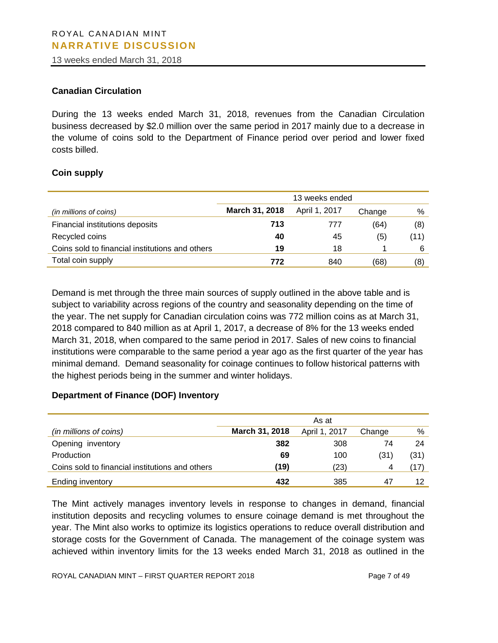13 weeks ended March 31, 2018

#### **Canadian Circulation**

During the 13 weeks ended March 31, 2018, revenues from the Canadian Circulation business decreased by \$2.0 million over the same period in 2017 mainly due to a decrease in the volume of coins sold to the Department of Finance period over period and lower fixed costs billed.

#### **Coin supply**

|                                                 | 13 weeks ended |               |        |      |  |  |
|-------------------------------------------------|----------------|---------------|--------|------|--|--|
| (in millions of coins)                          | March 31, 2018 | April 1, 2017 | Change | %    |  |  |
| Financial institutions deposits                 | 713            | 777           | (64)   | (8)  |  |  |
| Recycled coins                                  | 40             | 45            | (5)    | (11) |  |  |
| Coins sold to financial institutions and others | 19             | 18            |        | 6    |  |  |
| Total coin supply                               | 772            | 840           | (68)   | (8)  |  |  |

2018 compared to 840 million as at April 1, 2017, a decrease of 8% for the 13 weeks ended Demand is met through the three main sources of supply outlined in the above table and is subject to variability across regions of the country and seasonality depending on the time of the year. The net supply for Canadian circulation coins was 772 million coins as at March 31, March 31, 2018, when compared to the same period in 2017. Sales of new coins to financial institutions were comparable to the same period a year ago as the first quarter of the year has minimal demand. Demand seasonality for coinage continues to follow historical patterns with the highest periods being in the summer and winter holidays.

#### **Department of Finance (DOF) Inventory**

|                                                 | As at          |               |        |      |  |  |
|-------------------------------------------------|----------------|---------------|--------|------|--|--|
| (in millions of coins)                          | March 31, 2018 | April 1, 2017 | Change | %    |  |  |
| Opening inventory                               | 382            | 308           | 74     | 24   |  |  |
| Production                                      | 69             | 100           | (31)   | (31) |  |  |
| Coins sold to financial institutions and others | (19)           | (23)          |        | (17) |  |  |
| Ending inventory                                | 432            | 385           | -47    | 12   |  |  |

The Mint actively manages inventory levels in response to changes in demand, financial institution deposits and recycling volumes to ensure coinage demand is met throughout the year. The Mint also works to optimize its logistics operations to reduce overall distribution and storage costs for the Government of Canada. The management of the coinage system was achieved within inventory limits for the 13 weeks ended March 31, 2018 as outlined in the

ROYAL CANADIAN MINT – FIRST QUARTER REPORT 2018 Page 7 of 49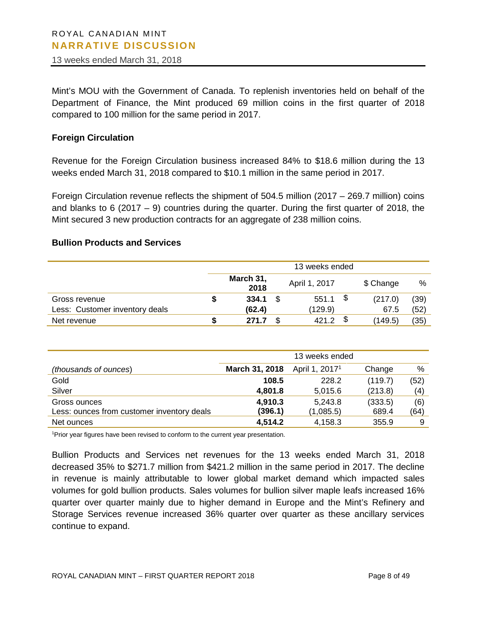13 weeks ended March 31, 2018

Mint's MOU with the Government of Canada. To replenish inventories held on behalf of the Department of Finance, the Mint produced 69 million coins in the first quarter of 2018 compared to 100 million for the same period in 2017.

#### **Foreign Circulation**

Revenue for the Foreign Circulation business increased 84% to \$18.6 million during the 13 weeks ended March 31, 2018 compared to \$10.1 million in the same period in 2017.

Foreign Circulation revenue reflects the shipment of 504.5 million (2017 – 269.7 million) coins and blanks to 6 (2017 – 9) countries during the quarter. During the first quarter of 2018, the Mint secured 3 new production contracts for an aggregate of 238 million coins.

#### **Bullion Products and Services**

|                                | 13 weeks ended |                   |  |               |  |           |      |  |  |  |
|--------------------------------|----------------|-------------------|--|---------------|--|-----------|------|--|--|--|
|                                |                | March 31,<br>2018 |  | April 1, 2017 |  | \$ Change | %    |  |  |  |
| Gross revenue                  |                | 334.1             |  | 551.1         |  | (217.0)   | (39) |  |  |  |
| Less: Customer inventory deals |                | (62.4)            |  | (129.9)       |  | 67.5      | (52) |  |  |  |
| Net revenue                    |                | 271.7             |  | 4212          |  | (149.5)   | (35) |  |  |  |

|                                            | 13 weeks ended |                            |         |      |  |  |
|--------------------------------------------|----------------|----------------------------|---------|------|--|--|
| (thousands of ounces)                      | March 31, 2018 | April 1, 2017 <sup>1</sup> | Change  | %    |  |  |
| Gold                                       | 108.5          | 228.2                      | (119.7) | (52) |  |  |
| Silver                                     | 4,801.8        | 5.015.6                    | (213.8) | (4)  |  |  |
| Gross ounces                               | 4,910.3        | 5,243.8                    | (333.5) | (6)  |  |  |
| Less: ounces from customer inventory deals | (396.1)        | (1,085.5)                  | 689.4   | (64) |  |  |
| Net ounces                                 | 4,514.2        | 4,158.3                    | 355.9   | 9    |  |  |

<sup>1</sup>Prior year figures have been revised to conform to the current year presentation.

Bullion Products and Services net revenues for the 13 weeks ended March 31, 2018 decreased 35% to \$271.7 million from \$421.2 million in the same period in 2017. The decline in revenue is mainly attributable to lower global market demand which impacted sales volumes for gold bullion products. Sales volumes for bullion silver maple leafs increased 16% quarter over quarter mainly due to higher demand in Europe and the Mint's Refinery and Storage Services revenue increased 36% quarter over quarter as these ancillary services continue to expand.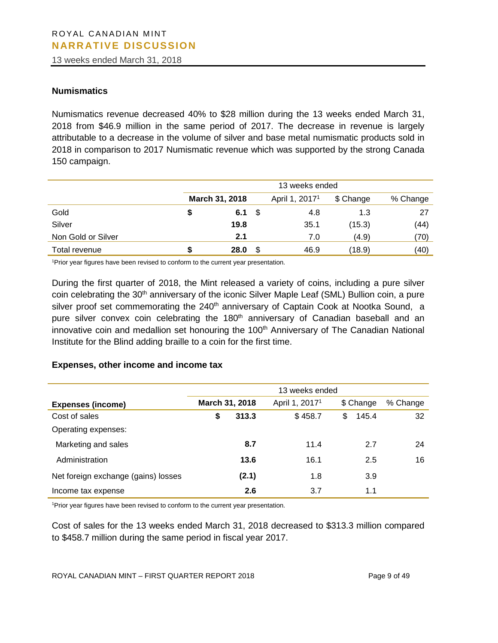13 weeks ended March 31, 2018

#### **Numismatics**

Numismatics revenue decreased 40% to \$28 million during the 13 weeks ended March 31, 2018 from \$46.9 million in the same period of 2017. The decrease in revenue is largely attributable to a decrease in the volume of silver and base metal numismatic products sold in 2018 in comparison to 2017 Numismatic revenue which was supported by the strong Canada 150 campaign.

|                    | 13 weeks ended |                |     |                            |           |          |  |  |  |  |
|--------------------|----------------|----------------|-----|----------------------------|-----------|----------|--|--|--|--|
|                    |                | March 31, 2018 |     | April 1, 2017 <sup>1</sup> | \$ Change | % Change |  |  |  |  |
| Gold               |                | 6.1            | - 5 | 4.8                        | 1.3       | 27       |  |  |  |  |
| Silver             |                | 19.8           |     | 35.1                       | (15.3)    | (44)     |  |  |  |  |
| Non Gold or Silver |                | 2.1            |     | 7.0                        | (4.9)     | (70)     |  |  |  |  |
| Total revenue      |                | 28.0           | \$  | 46.9                       | (18.9)    | (40)     |  |  |  |  |

<sup>1</sup>Prior year figures have been revised to conform to the current year presentation.

During the first quarter of 2018, the Mint released a variety of coins, including a pure silver coin celebrating the 30<sup>th</sup> anniversary of the iconic Silver Maple Leaf (SML) Bullion coin, a pure silver proof set commemorating the 240<sup>th</sup> anniversary of Captain Cook at Nootka Sound, a pure silver convex coin celebrating the 180<sup>th</sup> anniversary of Canadian baseball and an innovative coin and medallion set honouring the 100<sup>th</sup> Anniversary of The Canadian National Institute for the Blind adding braille to a coin for the first time.

#### **Expenses, other income and income tax**

|                                     | 13 weeks ended |       |                            |             |          |  |  |  |
|-------------------------------------|----------------|-------|----------------------------|-------------|----------|--|--|--|
| <b>Expenses (income)</b>            | March 31, 2018 |       | April 1, 2017 <sup>1</sup> | \$ Change   | % Change |  |  |  |
| Cost of sales                       | S              | 313.3 | \$458.7                    | 145.4<br>\$ | 32       |  |  |  |
| Operating expenses:                 |                |       |                            |             |          |  |  |  |
| Marketing and sales                 |                | 8.7   | 11.4                       | 2.7         | 24       |  |  |  |
| Administration                      |                | 13.6  | 16.1                       | 2.5         | 16       |  |  |  |
| Net foreign exchange (gains) losses |                | (2.1) | 1.8                        | 3.9         |          |  |  |  |
| Income tax expense                  |                | 2.6   | 3.7                        | 1.1         |          |  |  |  |

<sup>1</sup>Prior year figures have been revised to conform to the current year presentation.

Cost of sales for the 13 weeks ended March 31, 2018 decreased to \$313.3 million compared to \$458.7 million during the same period in fiscal year 2017.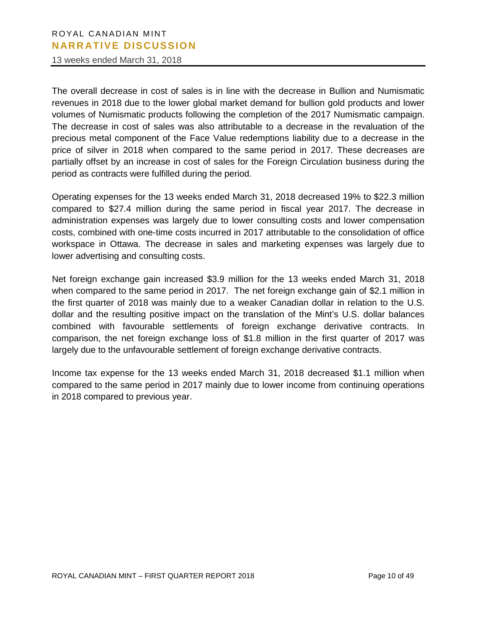13 weeks ended March 31, 2018

The overall decrease in cost of sales is in line with the decrease in Bullion and Numismatic revenues in 2018 due to the lower global market demand for bullion gold products and lower volumes of Numismatic products following the completion of the 2017 Numismatic campaign. The decrease in cost of sales was also attributable to a decrease in the revaluation of the precious metal component of the Face Value redemptions liability due to a decrease in the price of silver in 2018 when compared to the same period in 2017. These decreases are partially offset by an increase in cost of sales for the Foreign Circulation business during the period as contracts were fulfilled during the period.

Operating expenses for the 13 weeks ended March 31, 2018 decreased 19% to \$22.3 million compared to \$27.4 million during the same period in fiscal year 2017. The decrease in administration expenses was largely due to lower consulting costs and lower compensation costs, combined with one-time costs incurred in 2017 attributable to the consolidation of office workspace in Ottawa. The decrease in sales and marketing expenses was largely due to lower advertising and consulting costs.

combined with favourable settlements of foreign exchange derivative contracts. In Net foreign exchange gain increased \$3.9 million for the 13 weeks ended March 31, 2018 when compared to the same period in 2017. The net foreign exchange gain of \$2.1 million in the first quarter of 2018 was mainly due to a weaker Canadian dollar in relation to the U.S. dollar and the resulting positive impact on the translation of the Mint's U.S. dollar balances comparison, the net foreign exchange loss of \$1.8 million in the first quarter of 2017 was largely due to the unfavourable settlement of foreign exchange derivative contracts.

Income tax expense for the 13 weeks ended March 31, 2018 decreased \$1.1 million when compared to the same period in 2017 mainly due to lower income from continuing operations in 2018 compared to previous year.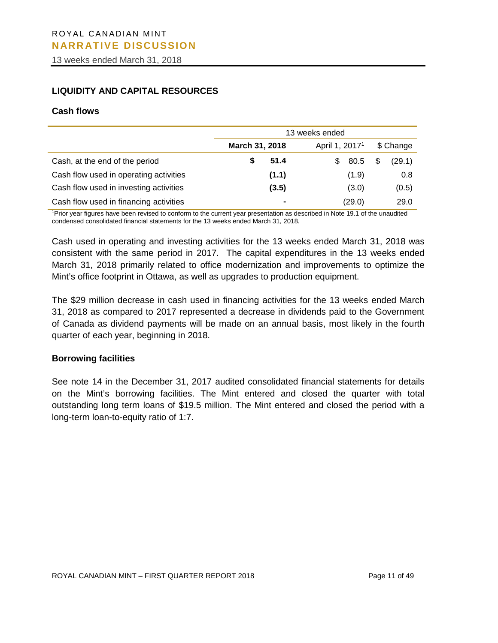13 weeks ended March 31, 2018

# **LIQUIDITY AND CAPITAL RESOURCES**

#### **Cash flows**

|                                        | 13 weeks ended |                            |             |  |  |  |  |  |
|----------------------------------------|----------------|----------------------------|-------------|--|--|--|--|--|
|                                        | March 31, 2018 | April 1, 2017 <sup>1</sup> | \$ Change   |  |  |  |  |  |
| Cash, at the end of the period         | 51.4           | 80.5<br>S                  | (29.1)<br>S |  |  |  |  |  |
| Cash flow used in operating activities | (1.1)          | (1.9)                      | 0.8         |  |  |  |  |  |
| Cash flow used in investing activities | (3.5)          | (3.0)                      | (0.5)       |  |  |  |  |  |
| Cash flow used in financing activities |                | (29.0)                     | 29.0        |  |  |  |  |  |

1 Prior year figures have been revised to conform to the current year presentation as described in Note 19.1 of the unaudited condensed consolidated financial statements for the 13 weeks ended March 31, 2018.

Cash used in operating and investing activities for the 13 weeks ended March 31, 2018 was consistent with the same period in 2017. The capital expenditures in the 13 weeks ended March 31, 2018 primarily related to office modernization and improvements to optimize the Mint's office footprint in Ottawa, as well as upgrades to production equipment.

of Canada as dividend payments will be made on an annual basis, most likely in the fourth The \$29 million decrease in cash used in financing activities for the 13 weeks ended March 31, 2018 as compared to 2017 represented a decrease in dividends paid to the Government quarter of each year, beginning in 2018.

#### **Borrowing facilities**

See note 14 in the December 31, 2017 audited consolidated financial statements for details on the Mint's borrowing facilities. The Mint entered and closed the quarter with total outstanding long term loans of \$19.5 million. The Mint entered and closed the period with a long-term loan-to-equity ratio of 1:7.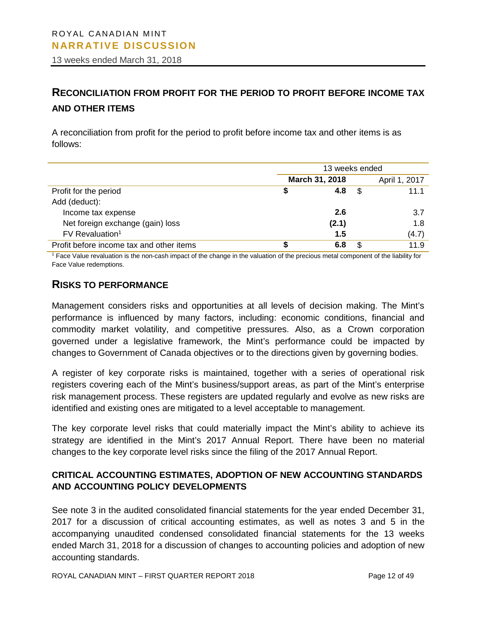13 weeks ended March 31, 2018

# **RECONCILIATION FROM PROFIT FOR THE PERIOD TO PROFIT BEFORE INCOME TAX AND OTHER ITEMS**

A reconciliation from profit for the period to profit before income tax and other items is as follows:

|                                          | 13 weeks ended |   |               |  |  |  |
|------------------------------------------|----------------|---|---------------|--|--|--|
|                                          | March 31, 2018 |   | April 1, 2017 |  |  |  |
| Profit for the period                    | 4.8<br>\$      | S | 11.1          |  |  |  |
| Add (deduct):                            |                |   |               |  |  |  |
| Income tax expense                       | 2.6            |   | 3.7           |  |  |  |
| Net foreign exchange (gain) loss         | (2.1)          |   | 1.8           |  |  |  |
| FV Revaluation <sup>1</sup>              | 1.5            |   | (4.7)         |  |  |  |
| Profit before income tax and other items | 6.8            |   | 11.9          |  |  |  |

<sup>1</sup> Face Value revaluation is the non-cash impact of the change in the valuation of the precious metal component of the liability for Face Value redemptions.

# **RISKS TO PERFORMANCE**

Management considers risks and opportunities at all levels of decision making. The Mint's performance is influenced by many factors, including: economic conditions, financial and commodity market volatility, and competitive pressures. Also, as a Crown corporation governed under a legislative framework, the Mint's performance could be impacted by changes to Government of Canada objectives or to the directions given by governing bodies.

A register of key corporate risks is maintained, together with a series of operational risk registers covering each of the Mint's business/support areas, as part of the Mint's enterprise risk management process. These registers are updated regularly and evolve as new risks are identified and existing ones are mitigated to a level acceptable to management.

The key corporate level risks that could materially impact the Mint's ability to achieve its strategy are identified in the Mint's 2017 Annual Report. There have been no material changes to the key corporate level risks since the filing of the 2017 Annual Report.

# **CRITICAL ACCOUNTING ESTIMATES, ADOPTION OF NEW ACCOUNTING STANDARDS AND ACCOUNTING POLICY DEVELOPMENTS**

See note 3 in the audited consolidated financial statements for the year ended December 31, 2017 for a discussion of critical accounting estimates, as well as notes 3 and 5 in the accompanying unaudited condensed consolidated financial statements for the 13 weeks ended March 31, 2018 for a discussion of changes to accounting policies and adoption of new accounting standards.

ROYAL CANADIAN MINT – FIRST QUARTER REPORT 2018 Page 12 of 49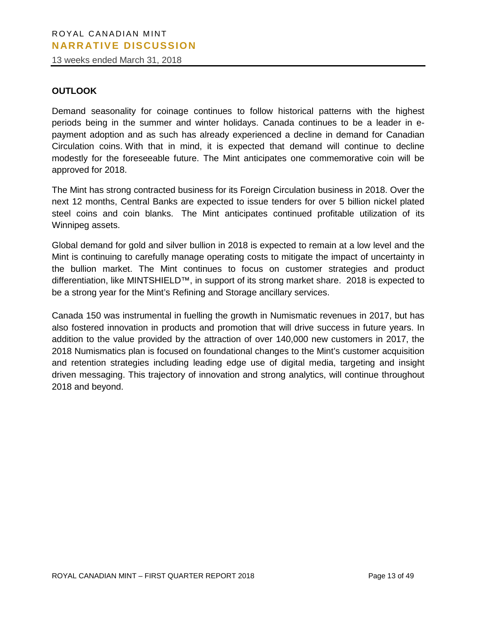13 weeks ended March 31, 2018

#### **OUTLOOK**

Demand seasonality for coinage continues to follow historical patterns with the highest periods being in the summer and winter holidays. Canada continues to be a leader in epayment adoption and as such has already experienced a decline in demand for Canadian Circulation coins. With that in mind, it is expected that demand will continue to decline modestly for the foreseeable future. The Mint anticipates one commemorative coin will be approved for 2018.

The Mint has strong contracted business for its Foreign Circulation business in 2018. Over the next 12 months, Central Banks are expected to issue tenders for over 5 billion nickel plated steel coins and coin blanks. The Mint anticipates continued profitable utilization of its Winnipeg assets.

Global demand for gold and silver bullion in 2018 is expected to remain at a low level and the Mint is continuing to carefully manage operating costs to mitigate the impact of uncertainty in the bullion market. The Mint continues to focus on customer strategies and product differentiation, like MINTSHIELD™, in support of its strong market share. 2018 is expected to be a strong year for the Mint's Refining and Storage ancillary services.

also fostered innovation in products and promotion that will drive success in future years. In Canada 150 was instrumental in fuelling the growth in Numismatic revenues in 2017, but has addition to the value provided by the attraction of over 140,000 new customers in 2017, the 2018 Numismatics plan is focused on foundational changes to the Mint's customer acquisition and retention strategies including leading edge use of digital media, targeting and insight driven messaging. This trajectory of innovation and strong analytics, will continue throughout 2018 and beyond.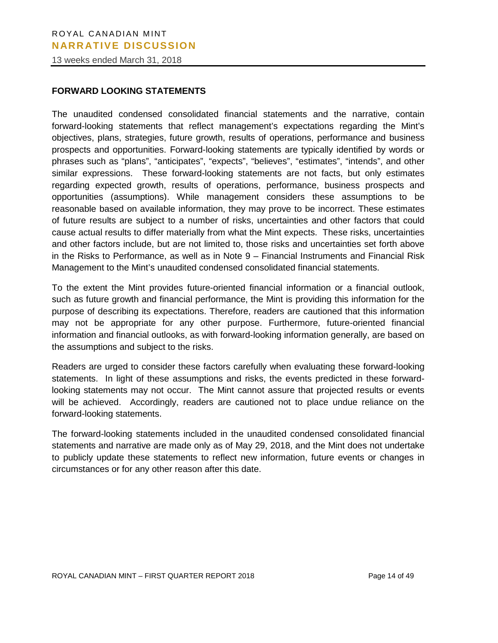13 weeks ended March 31, 2018

#### **FORWARD LOOKING STATEMENTS**

The unaudited condensed consolidated financial statements and the narrative, contain forward-looking statements that reflect management's expectations regarding the Mint's objectives, plans, strategies, future growth, results of operations, performance and business prospects and opportunities. Forward-looking statements are typically identified by words or phrases such as "plans", "anticipates", "expects", "believes", "estimates", "intends", and other similar expressions. These forward-looking statements are not facts, but only estimates regarding expected growth, results of operations, performance, business prospects and opportunities (assumptions). While management considers these assumptions to be reasonable based on available information, they may prove to be incorrect. These estimates of future results are subject to a number of risks, uncertainties and other factors that could cause actual results to differ materially from what the Mint expects. These risks, uncertainties and other factors include, but are not limited to, those risks and uncertainties set forth above in the Risks to Performance, as well as in Note 9 – Financial Instruments and Financial Risk Management to the Mint's unaudited condensed consolidated financial statements.

may not be appropriate for any other purpose. Furthermore, future-oriented financial To the extent the Mint provides future-oriented financial information or a financial outlook, such as future growth and financial performance, the Mint is providing this information for the purpose of describing its expectations. Therefore, readers are cautioned that this information information and financial outlooks, as with forward-looking information generally, are based on the assumptions and subject to the risks.

Readers are urged to consider these factors carefully when evaluating these forward-looking statements. In light of these assumptions and risks, the events predicted in these forwardlooking statements may not occur. The Mint cannot assure that projected results or events will be achieved. Accordingly, readers are cautioned not to place undue reliance on the forward-looking statements.

The forward-looking statements included in the unaudited condensed consolidated financial statements and narrative are made only as of May 29, 2018, and the Mint does not undertake to publicly update these statements to reflect new information, future events or changes in circumstances or for any other reason after this date.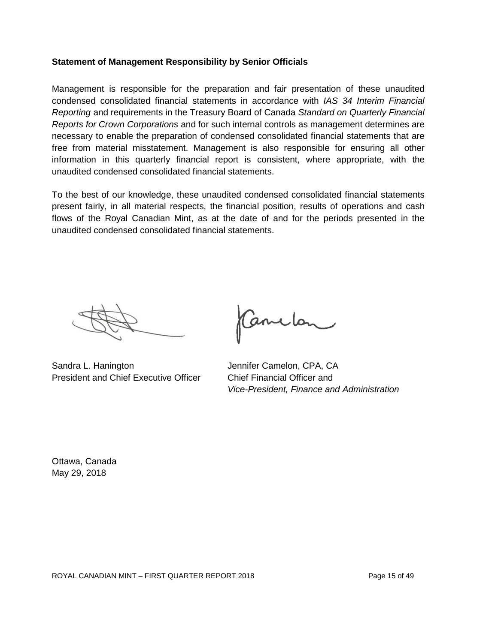#### **Statement of Management Responsibility by Senior Officials**

Management is responsible for the preparation and fair presentation of these unaudited condensed consolidated financial statements in accordance with *IAS 34 Interim Financial Reporting* and requirements in the Treasury Board of Canada *Standard on Quarterly Financial Reports for Crown Corporations* and for such internal controls as management determines are necessary to enable the preparation of condensed consolidated financial statements that are free from material misstatement. Management is also responsible for ensuring all other information in this quarterly financial report is consistent, where appropriate, with the unaudited condensed consolidated financial statements.

To the best of our knowledge, these unaudited condensed consolidated financial statements present fairly, in all material respects, the financial position, results of operations and cash flows of the Royal Canadian Mint, as at the date of and for the periods presented in the unaudited condensed consolidated financial statements.

Sandra L. Hanington Jennifer Camelon, CPA, CA President and Chief Executive Officer Chief Financial Officer and

Canclon

*Vice-President, Finance and Administration*

Ottawa, Canada May 29, 2018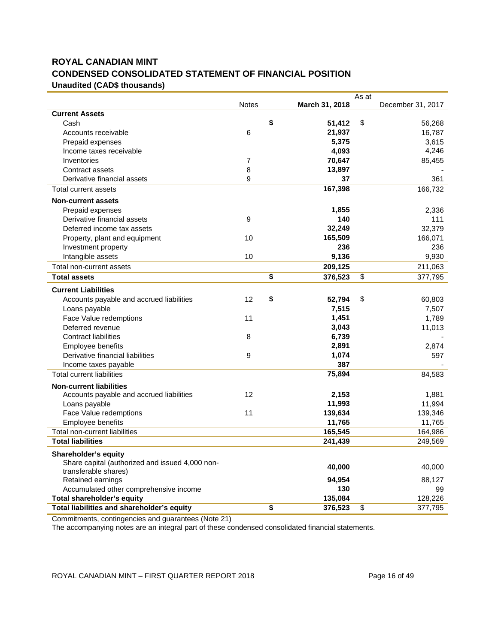# **ROYAL CANADIAN MINT CONDENSED CONSOLIDATED STATEMENT OF FINANCIAL POSITION Unaudited (CAD\$ thousands)**

|                                                 |              |                | As at |                   |
|-------------------------------------------------|--------------|----------------|-------|-------------------|
|                                                 | <b>Notes</b> | March 31, 2018 |       | December 31, 2017 |
| <b>Current Assets</b>                           |              |                |       |                   |
| Cash                                            |              | \$<br>51,412   | \$    | 56,268            |
| Accounts receivable                             | 6            | 21,937         |       | 16,787            |
| Prepaid expenses                                |              | 5,375          |       | 3,615             |
| Income taxes receivable                         |              | 4,093          |       | 4,246             |
| Inventories                                     | 7            | 70,647         |       | 85,455            |
| Contract assets                                 | 8            | 13,897         |       |                   |
| Derivative financial assets                     | 9            | 37             |       | 361               |
| Total current assets                            |              | 167,398        |       | 166,732           |
| <b>Non-current assets</b>                       |              |                |       |                   |
| Prepaid expenses                                |              | 1,855          |       | 2,336             |
| Derivative financial assets                     | 9            | 140            |       | 111               |
| Deferred income tax assets                      |              | 32,249         |       | 32,379            |
| Property, plant and equipment                   | 10           | 165,509        |       | 166,071           |
| Investment property                             |              | 236            |       | 236               |
| Intangible assets                               | 10           | 9,136          |       | 9,930             |
| Total non-current assets                        |              | 209,125        |       | 211,063           |
| <b>Total assets</b>                             |              | \$<br>376,523  | \$    | 377,795           |
| <b>Current Liabilities</b>                      |              |                |       |                   |
| Accounts payable and accrued liabilities        | 12           | \$<br>52,794   | \$    | 60,803            |
| Loans payable                                   |              | 7,515          |       | 7,507             |
| Face Value redemptions                          | 11           | 1,451          |       | 1,789             |
| Deferred revenue                                |              | 3,043          |       | 11,013            |
| <b>Contract liabilities</b>                     | 8            | 6,739          |       |                   |
| Employee benefits                               |              | 2,891          |       | 2,874             |
| Derivative financial liabilities                | 9            | 1,074          |       | 597               |
| Income taxes payable                            |              | 387            |       |                   |
| <b>Total current liabilities</b>                |              | 75,894         |       | 84,583            |
| <b>Non-current liabilities</b>                  |              |                |       |                   |
| Accounts payable and accrued liabilities        | 12           | 2,153          |       | 1,881             |
| Loans payable                                   |              | 11,993         |       | 11,994            |
| Face Value redemptions                          | 11           | 139,634        |       | 139,346           |
| Employee benefits                               |              | 11,765         |       | 11,765            |
| Total non-current liabilities                   |              | 165,545        |       | 164,986           |
| <b>Total liabilities</b>                        |              | 241,439        |       | 249,569           |
| <b>Shareholder's equity</b>                     |              |                |       |                   |
| Share capital (authorized and issued 4,000 non- |              |                |       |                   |
| transferable shares)                            |              | 40,000         |       | 40,000            |
| Retained earnings                               |              | 94,954         |       | 88,127            |
| Accumulated other comprehensive income          |              | 130            |       | 99                |
| <b>Total shareholder's equity</b>               |              | 135,084        |       | 128,226           |
| Total liabilities and shareholder's equity      |              | \$<br>376,523  | \$    | 377,795           |

Commitments, contingencies and guarantees (Note 21)

The accompanying notes are an integral part of these condensed consolidated financial statements.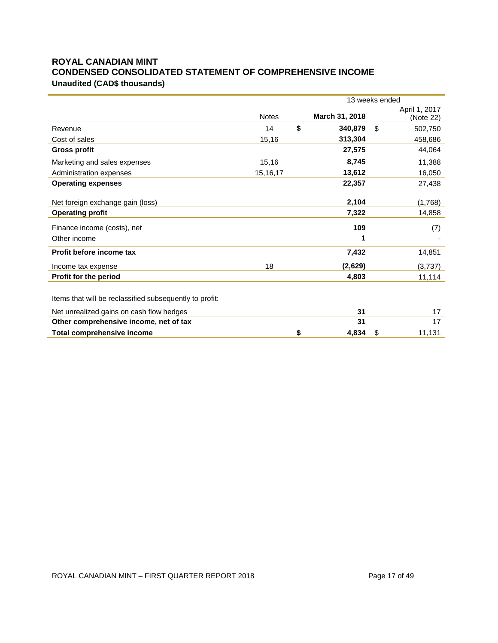# **ROYAL CANADIAN MINT CONDENSED CONSOLIDATED STATEMENT OF COMPREHENSIVE INCOME Unaudited (CAD\$ thousands)**

|                                                         |              | 13 weeks ended |                |    |               |  |
|---------------------------------------------------------|--------------|----------------|----------------|----|---------------|--|
|                                                         |              |                |                |    | April 1, 2017 |  |
|                                                         | <b>Notes</b> |                | March 31, 2018 |    | (Note 22)     |  |
| Revenue                                                 | 14           | \$             | 340,879        | \$ | 502,750       |  |
| Cost of sales                                           | 15,16        |                | 313,304        |    | 458,686       |  |
| <b>Gross profit</b>                                     |              |                | 27,575         |    | 44,064        |  |
| Marketing and sales expenses                            | 15,16        |                | 8,745          |    | 11,388        |  |
| Administration expenses                                 | 15, 16, 17   |                | 13,612         |    | 16,050        |  |
| <b>Operating expenses</b>                               |              |                | 22,357         |    | 27,438        |  |
|                                                         |              |                |                |    |               |  |
| Net foreign exchange gain (loss)                        |              |                | 2,104          |    | (1,768)       |  |
| <b>Operating profit</b>                                 |              |                | 7,322          |    | 14,858        |  |
| Finance income (costs), net                             |              |                | 109            |    | (7)           |  |
| Other income                                            |              |                | 1              |    |               |  |
| Profit before income tax                                |              |                | 7,432          |    | 14,851        |  |
| Income tax expense                                      | 18           |                | (2,629)        |    | (3,737)       |  |
| Profit for the period                                   |              |                | 4,803          |    | 11,114        |  |
|                                                         |              |                |                |    |               |  |
| Items that will be reclassified subsequently to profit: |              |                |                |    |               |  |
| Net unrealized gains on cash flow hedges                |              |                | 31             |    | 17            |  |
| Other comprehensive income, net of tax                  |              |                | 31             |    | 17            |  |
| <b>Total comprehensive income</b>                       |              | \$             | 4,834          | \$ | 11,131        |  |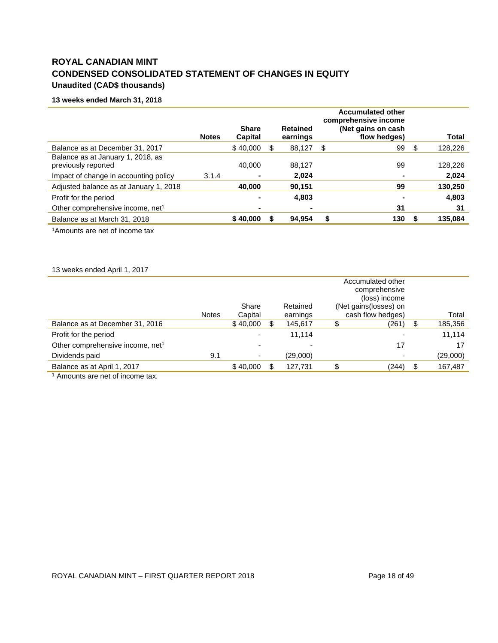# **ROYAL CANADIAN MINT CONDENSED CONSOLIDATED STATEMENT OF CHANGES IN EQUITY Unaudited (CAD\$ thousands)**

#### **13 weeks ended March 31, 2018**

|                                                          | <b>Notes</b> | <b>Share</b><br><b>Capital</b> |    | <b>Retained</b><br>earnings |    | <b>Accumulated other</b><br>comprehensive income<br>(Net gains on cash<br>flow hedges) |     | <b>Total</b> |
|----------------------------------------------------------|--------------|--------------------------------|----|-----------------------------|----|----------------------------------------------------------------------------------------|-----|--------------|
| Balance as at December 31, 2017                          |              | \$40,000                       | \$ | 88,127                      | \$ | 99                                                                                     | \$. | 128,226      |
| Balance as at January 1, 2018, as<br>previously reported |              | 40.000                         |    | 88.127                      |    | 99                                                                                     |     | 128,226      |
| Impact of change in accounting policy                    | 3.1.4        | $\blacksquare$                 |    | 2.024                       |    |                                                                                        |     | 2,024        |
| Adjusted balance as at January 1, 2018                   |              | 40,000                         |    | 90.151                      |    | 99                                                                                     |     | 130,250      |
| Profit for the period                                    |              | $\overline{\phantom{0}}$       |    | 4,803                       |    |                                                                                        |     | 4,803        |
| Other comprehensive income, net <sup>1</sup>             |              | ۰                              |    | $\blacksquare$              |    | 31                                                                                     |     | 31           |
| Balance as at March 31, 2018                             |              | \$40,000                       | S  | 94.954                      | S  | 130                                                                                    |     | 135,084      |

1Amounts are net of income tax

#### 13 weeks ended April 1, 2017

|                                              |              |          |    |          | Accumulated other<br>comprehensive |     |          |
|----------------------------------------------|--------------|----------|----|----------|------------------------------------|-----|----------|
|                                              |              |          |    |          |                                    |     |          |
|                                              |              |          |    |          | (loss) income                      |     |          |
|                                              |              | Share    |    | Retained | (Net gains (losses) on             |     |          |
|                                              | <b>Notes</b> | Capital  |    | earnings | cash flow hedges)                  |     | Total    |
| Balance as at December 31, 2016              |              | \$40,000 | \$ | 145,617  | \$<br>(261)                        | \$  | 185,356  |
| Profit for the period                        |              |          |    | 11.114   |                                    |     | 11,114   |
| Other comprehensive income, net <sup>1</sup> |              |          |    |          | 17                                 |     | 17       |
| Dividends paid                               | 9.1          |          |    | (29,000) |                                    |     | (29,000) |
| Balance as at April 1, 2017                  |              | \$40,000 | S  | 127,731  | (244)                              | \$. | 167,487  |
|                                              |              |          |    |          |                                    |     |          |

<sup>1</sup> Amounts are net of income tax.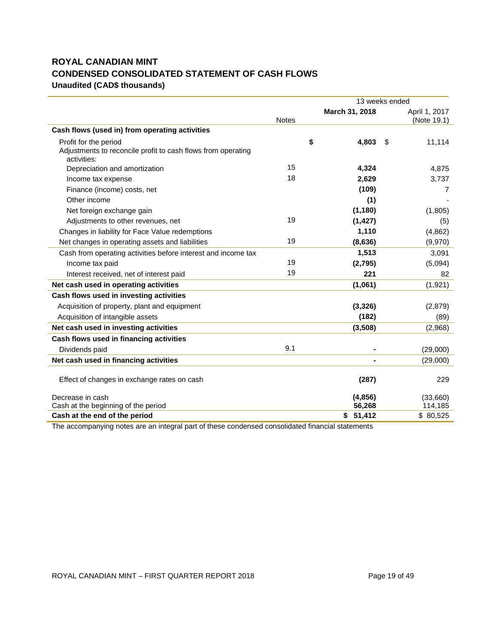# **ROYAL CANADIAN MINT CONDENSED CONSOLIDATED STATEMENT OF CASH FLOWS Unaudited (CAD\$ thousands)**

|                                                                                                      |              | 13 weeks ended    |                              |
|------------------------------------------------------------------------------------------------------|--------------|-------------------|------------------------------|
|                                                                                                      | <b>Notes</b> | March 31, 2018    | April 1, 2017<br>(Note 19.1) |
| Cash flows (used in) from operating activities                                                       |              |                   |                              |
| Profit for the period<br>Adjustments to reconcile profit to cash flows from operating<br>activities: |              | \$<br>4,803       | \$<br>11,114                 |
| Depreciation and amortization                                                                        | 15           | 4,324             | 4,875                        |
| Income tax expense                                                                                   | 18           | 2,629             | 3,737                        |
| Finance (income) costs, net                                                                          |              | (109)             | 7                            |
| Other income                                                                                         |              | (1)               |                              |
| Net foreign exchange gain                                                                            |              | (1, 180)          | (1,805)                      |
| Adjustments to other revenues, net                                                                   | 19           | (1, 427)          | (5)                          |
| Changes in liability for Face Value redemptions                                                      |              | 1,110             | (4,862)                      |
| Net changes in operating assets and liabilities                                                      | 19           | (8,636)           | (9,970)                      |
| Cash from operating activities before interest and income tax                                        |              | 1,513             | 3,091                        |
| Income tax paid                                                                                      | 19           | (2,795)           | (5,094)                      |
| Interest received, net of interest paid                                                              | 19           | 221               | 82                           |
| Net cash used in operating activities                                                                |              | (1,061)           | (1,921)                      |
| Cash flows used in investing activities                                                              |              |                   |                              |
| Acquisition of property, plant and equipment                                                         |              | (3, 326)          | (2,879)                      |
| Acquisition of intangible assets                                                                     |              | (182)             | (89)                         |
| Net cash used in investing activities                                                                |              | (3,508)           | (2,968)                      |
| Cash flows used in financing activities                                                              |              |                   |                              |
| Dividends paid                                                                                       | 9.1          |                   | (29,000)                     |
| Net cash used in financing activities                                                                |              |                   | (29,000)                     |
| Effect of changes in exchange rates on cash                                                          |              | (287)             | 229                          |
| Decrease in cash<br>Cash at the beginning of the period                                              |              | (4,856)<br>56,268 | (33,660)<br>114,185          |
| Cash at the end of the period                                                                        |              | \$51,412          | \$80,525                     |
|                                                                                                      |              |                   |                              |

The accompanying notes are an integral part of these condensed consolidated financial statements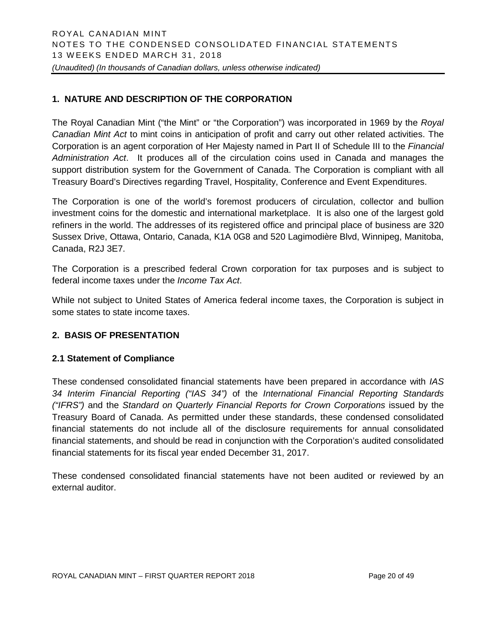# **1. NATURE AND DESCRIPTION OF THE CORPORATION**

The Royal Canadian Mint ("the Mint" or "the Corporation") was incorporated in 1969 by the *Royal Canadian Mint Act* to mint coins in anticipation of profit and carry out other related activities. The Corporation is an agent corporation of Her Majesty named in Part II of Schedule III to the *Financial Administration Act*. It produces all of the circulation coins used in Canada and manages the support distribution system for the Government of Canada. The Corporation is compliant with all Treasury Board's Directives regarding Travel, Hospitality, Conference and Event Expenditures.

The Corporation is one of the world's foremost producers of circulation, collector and bullion investment coins for the domestic and international marketplace. It is also one of the largest gold refiners in the world. The addresses of its registered office and principal place of business are 320 Sussex Drive, Ottawa, Ontario, Canada, K1A 0G8 and 520 Lagimodière Blvd, Winnipeg, Manitoba, Canada, R2J 3E7.

The Corporation is a prescribed federal Crown corporation for tax purposes and is subject to federal income taxes under the *Income Tax Act*.

While not subject to United States of America federal income taxes, the Corporation is subject in some states to state income taxes.

#### **2. BASIS OF PRESENTATION**

#### **2.1 Statement of Compliance**

These condensed consolidated financial statements have been prepared in accordance with *IAS 34 Interim Financial Reporting ("IAS 34")* of the *International Financial Reporting Standards ("IFRS")* and the *Standard on Quarterly Financial Reports for Crown Corporations* issued by the Treasury Board of Canada. As permitted under these standards, these condensed consolidated financial statements do not include all of the disclosure requirements for annual consolidated financial statements, and should be read in conjunction with the Corporation's audited consolidated financial statements for its fiscal year ended December 31, 2017.

These condensed consolidated financial statements have not been audited or reviewed by an external auditor.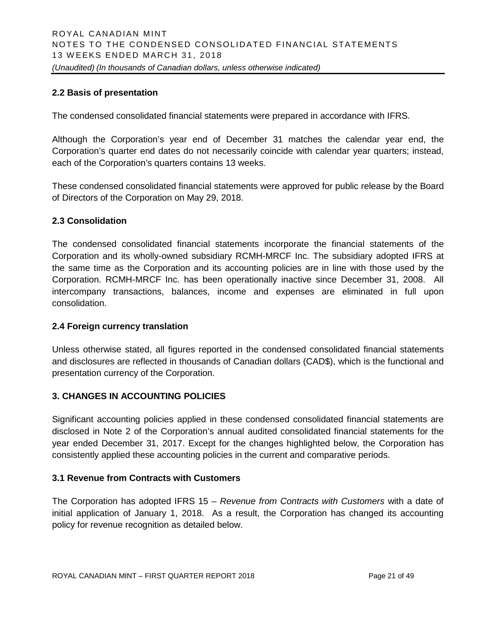# **2.2 Basis of presentation**

The condensed consolidated financial statements were prepared in accordance with IFRS.

Although the Corporation's year end of December 31 matches the calendar year end, the Corporation's quarter end dates do not necessarily coincide with calendar year quarters; instead, each of the Corporation's quarters contains 13 weeks.

These condensed consolidated financial statements were approved for public release by the Board of Directors of the Corporation on May 29, 2018.

# **2.3 Consolidation**

The condensed consolidated financial statements incorporate the financial statements of the Corporation and its wholly-owned subsidiary RCMH-MRCF Inc. The subsidiary adopted IFRS at the same time as the Corporation and its accounting policies are in line with those used by the Corporation. RCMH-MRCF Inc. has been operationally inactive since December 31, 2008. All intercompany transactions, balances, income and expenses are eliminated in full upon consolidation.

#### **2.4 Foreign currency translation**

Unless otherwise stated, all figures reported in the condensed consolidated financial statements and disclosures are reflected in thousands of Canadian dollars (CAD\$), which is the functional and presentation currency of the Corporation.

# **3. CHANGES IN ACCOUNTING POLICIES**

Significant accounting policies applied in these condensed consolidated financial statements are disclosed in Note 2 of the Corporation's annual audited consolidated financial statements for the year ended December 31, 2017. Except for the changes highlighted below, the Corporation has consistently applied these accounting policies in the current and comparative periods.

# **3.1 Revenue from Contracts with Customers**

The Corporation has adopted IFRS 15 – *Revenue from Contracts with Customers* with a date of initial application of January 1, 2018. As a result, the Corporation has changed its accounting policy for revenue recognition as detailed below.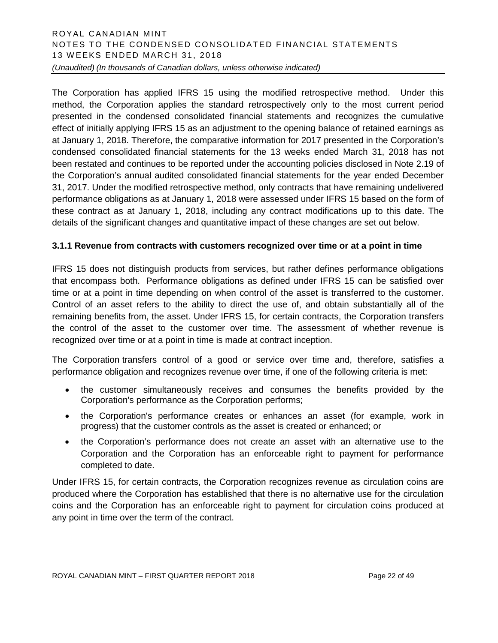# ROYAL CANADIAN MINT NOTES TO THE CONDENSED CONSOLIDATED FINANCIAL STATEMENTS 1 3 WEEKS ENDED MARCH 31, 2018 *(Unaudited) (In thousands of Canadian dollars, unless otherwise indicated)*

The Corporation has applied IFRS 15 using the modified retrospective method. Under this method, the Corporation applies the standard retrospectively only to the most current period presented in the condensed consolidated financial statements and recognizes the cumulative effect of initially applying IFRS 15 as an adjustment to the opening balance of retained earnings as at January 1, 2018. Therefore, the comparative information for 2017 presented in the Corporation's condensed consolidated financial statements for the 13 weeks ended March 31, 2018 has not been restated and continues to be reported under the accounting policies disclosed in Note 2.19 of the Corporation's annual audited consolidated financial statements for the year ended December 31, 2017. Under the modified retrospective method, only contracts that have remaining undelivered performance obligations as at January 1, 2018 were assessed under IFRS 15 based on the form of these contract as at January 1, 2018, including any contract modifications up to this date. The details of the significant changes and quantitative impact of these changes are set out below.

# **3.1.1 Revenue from contracts with customers recognized over time or at a point in time**

IFRS 15 does not distinguish products from services, but rather defines performance obligations that encompass both. Performance obligations as defined under IFRS 15 can be satisfied over time or at a point in time depending on when control of the asset is transferred to the customer. Control of an asset refers to the ability to direct the use of, and obtain substantially all of the remaining benefits from, the asset. Under IFRS 15, for certain contracts, the Corporation transfers the control of the asset to the customer over time. The assessment of whether revenue is recognized over time or at a point in time is made at contract inception.

The Corporation transfers control of a good or service over time and, therefore, satisfies a performance obligation and recognizes revenue over time, if one of the following criteria is met:

- the customer simultaneously receives and consumes the benefits provided by the Corporation's performance as the Corporation performs;
- the Corporation's performance creates or enhances an asset (for example, work in progress) that the customer controls as the asset is created or enhanced; or
- the Corporation's performance does not create an asset with an alternative use to the Corporation and the Corporation has an enforceable right to payment for performance completed to date.

Under IFRS 15, for certain contracts, the Corporation recognizes revenue as circulation coins are produced where the Corporation has established that there is no alternative use for the circulation coins and the Corporation has an enforceable right to payment for circulation coins produced at any point in time over the term of the contract.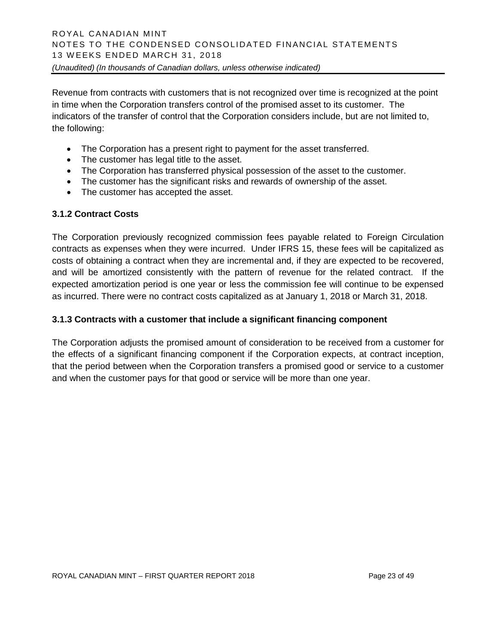Revenue from contracts with customers that is not recognized over time is recognized at the point in time when the Corporation transfers control of the promised asset to its customer. The indicators of the transfer of control that the Corporation considers include, but are not limited to, the following:

- The Corporation has a present right to payment for the asset transferred.
- The customer has legal title to the asset.
- The Corporation has transferred physical possession of the asset to the customer.
- The customer has the significant risks and rewards of ownership of the asset.
- The customer has accepted the asset.

#### **3.1.2 Contract Costs**

The Corporation previously recognized commission fees payable related to Foreign Circulation contracts as expenses when they were incurred. Under IFRS 15, these fees will be capitalized as costs of obtaining a contract when they are incremental and, if they are expected to be recovered, and will be amortized consistently with the pattern of revenue for the related contract. If the expected amortization period is one year or less the commission fee will continue to be expensed as incurred. There were no contract costs capitalized as at January 1, 2018 or March 31, 2018.

#### **3.1.3 Contracts with a customer that include a significant financing component**

The Corporation adjusts the promised amount of consideration to be received from a customer for the effects of a significant financing component if the Corporation expects, at contract inception, that the period between when the Corporation transfers a promised good or service to a customer and when the customer pays for that good or service will be more than one year.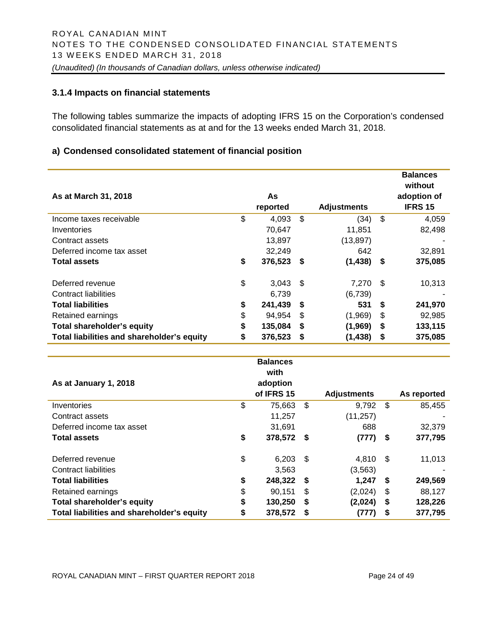#### **3.1.4 Impacts on financial statements**

The following tables summarize the impacts of adopting IFRS 15 on the Corporation's condensed consolidated financial statements as at and for the 13 weeks ended March 31, 2018.

#### **a) Condensed consolidated statement of financial position**

| As at March 31, 2018                       | As<br>reported |     | <b>Adjustments</b> |     | <b>Balances</b><br>without<br>adoption of<br><b>IFRS 15</b> |
|--------------------------------------------|----------------|-----|--------------------|-----|-------------------------------------------------------------|
| Income taxes receivable                    | \$<br>4,093    | \$  | (34)               | \$  | 4,059                                                       |
| Inventories                                | 70,647         |     | 11,851             |     | 82,498                                                      |
| Contract assets                            | 13,897         |     | (13, 897)          |     |                                                             |
| Deferred income tax asset                  | 32,249         |     | 642                |     | 32,891                                                      |
| <b>Total assets</b>                        | \$<br>376,523  | -S  | (1, 438)           | \$  | 375,085                                                     |
| Deferred revenue                           | \$<br>3,043    | -S  | 7,270              | \$. | 10,313                                                      |
| Contract liabilities                       | 6,739          |     | (6,739)            |     |                                                             |
| <b>Total liabilities</b>                   | \$<br>241,439  | S   | 531                | \$  | 241,970                                                     |
| Retained earnings                          | \$<br>94.954   | \$. | (1,969)            | \$  | 92,985                                                      |
| <b>Total shareholder's equity</b>          | \$<br>135,084  | S   | (1,969)            | \$  | 133,115                                                     |
| Total liabilities and shareholder's equity | \$<br>376,523  | S   | (1, 438)           | \$  | 375,085                                                     |

| As at January 1, 2018                      | <b>Balances</b><br>with<br>adoption<br>of IFRS 15 |      | <b>Adjustments</b> |      | As reported |
|--------------------------------------------|---------------------------------------------------|------|--------------------|------|-------------|
| Inventories                                | \$<br>75,663                                      | \$   | 9,792              | \$   | 85,455      |
| Contract assets                            | 11,257                                            |      | (11, 257)          |      |             |
| Deferred income tax asset                  | 31,691                                            |      | 688                |      | 32,379      |
| <b>Total assets</b>                        | \$<br>378,572 \$                                  |      | (777)              | -\$  | 377,795     |
| Deferred revenue                           | \$<br>6,203                                       | - \$ | 4,810              | - \$ | 11,013      |
| Contract liabilities                       | 3,563                                             |      | (3, 563)           |      |             |
| <b>Total liabilities</b>                   | \$<br>248,322                                     | - \$ | 1,247              | S.   | 249,569     |
| Retained earnings                          | \$<br>90,151                                      | \$   | (2,024)            | \$   | 88,127      |
| <b>Total shareholder's equity</b>          | \$<br>130,250                                     | \$   | (2,024)            | \$   | 128,226     |
| Total liabilities and shareholder's equity | \$<br>378,572                                     | - \$ | (777)              | S    | 377,795     |

ROYAL CANADIAN MINT – FIRST QUARTER REPORT 2018 Page 24 of 49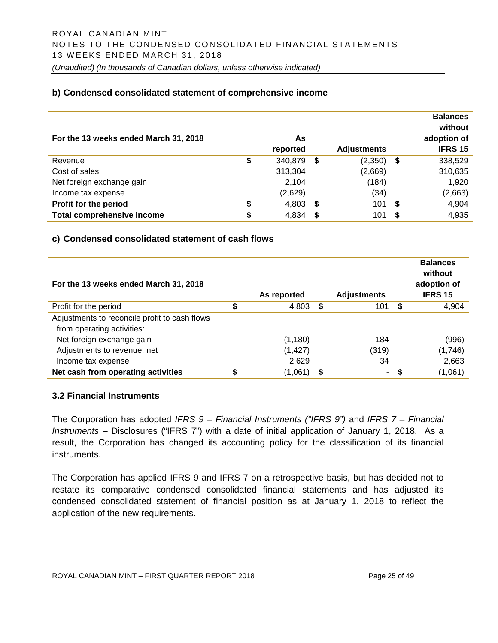#### **b) Condensed consolidated statement of comprehensive income**

| For the 13 weeks ended March 31, 2018 | As<br>reported   |    | <b>Adjustments</b> |   | <b>Balances</b><br>without<br>adoption of<br><b>IFRS 15</b> |
|---------------------------------------|------------------|----|--------------------|---|-------------------------------------------------------------|
| Revenue                               | \$<br>340,879 \$ |    | (2,350)            | S | 338,529                                                     |
| Cost of sales                         | 313,304          |    | (2,669)            |   | 310,635                                                     |
| Net foreign exchange gain             | 2,104            |    | (184)              |   | 1,920                                                       |
| Income tax expense                    | (2,629)          |    | (34)               |   | (2,663)                                                     |
| Profit for the period                 | \$<br>4,803      | S. | 101                | S | 4,904                                                       |
| <b>Total comprehensive income</b>     | \$<br>4,834      |    | 101                | S | 4,935                                                       |

#### **c) Condensed consolidated statement of cash flows**

| For the 13 weeks ended March 31, 2018         | As reported |   | <b>Adjustments</b> |   | <b>Balances</b><br>without<br>adoption of<br><b>IFRS 15</b> |
|-----------------------------------------------|-------------|---|--------------------|---|-------------------------------------------------------------|
| Profit for the period                         | \$<br>4,803 | S | 101                | S | 4,904                                                       |
| Adjustments to reconcile profit to cash flows |             |   |                    |   |                                                             |
| from operating activities:                    |             |   |                    |   |                                                             |
| Net foreign exchange gain                     | (1, 180)    |   | 184                |   | (996)                                                       |
| Adjustments to revenue, net                   | (1, 427)    |   | (319)              |   | (1,746)                                                     |
| Income tax expense                            | 2,629       |   | 34                 |   | 2,663                                                       |
| Net cash from operating activities            | (1,061      | S | $\blacksquare$     | S | (1,061)                                                     |

#### **3.2 Financial Instruments**

The Corporation has adopted *IFRS 9 – Financial Instruments ("IFRS 9")* and *IFRS 7 – Financial Instruments –* Disclosures ("IFRS 7") with a date of initial application of January 1, 2018. As a result, the Corporation has changed its accounting policy for the classification of its financial instruments.

The Corporation has applied IFRS 9 and IFRS 7 on a retrospective basis, but has decided not to restate its comparative condensed consolidated financial statements and has adjusted its condensed consolidated statement of financial position as at January 1, 2018 to reflect the application of the new requirements.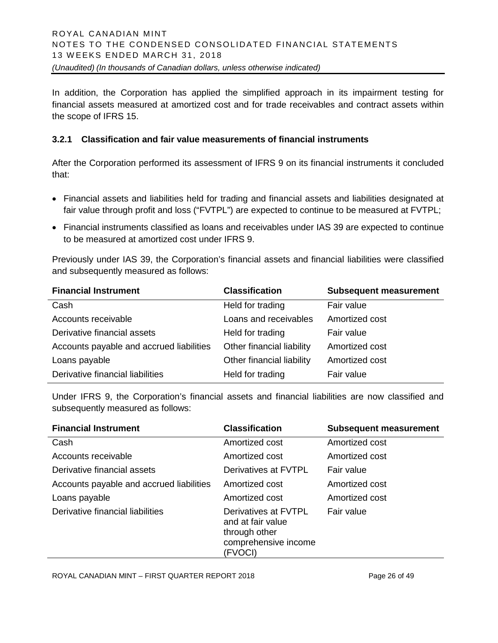In addition, the Corporation has applied the simplified approach in its impairment testing for financial assets measured at amortized cost and for trade receivables and contract assets within the scope of IFRS 15.

#### **3.2.1 Classification and fair value measurements of financial instruments**

After the Corporation performed its assessment of IFRS 9 on its financial instruments it concluded that:

- Financial assets and liabilities held for trading and financial assets and liabilities designated at fair value through profit and loss ("FVTPL") are expected to continue to be measured at FVTPL;
- Financial instruments classified as loans and receivables under IAS 39 are expected to continue to be measured at amortized cost under IFRS 9.

Previously under IAS 39, the Corporation's financial assets and financial liabilities were classified and subsequently measured as follows:

| <b>Financial Instrument</b>              | <b>Classification</b>     | <b>Subsequent measurement</b> |
|------------------------------------------|---------------------------|-------------------------------|
| Cash                                     | Held for trading          | Fair value                    |
| Accounts receivable                      | Loans and receivables     | Amortized cost                |
| Derivative financial assets              | Held for trading          | Fair value                    |
| Accounts payable and accrued liabilities | Other financial liability | Amortized cost                |
| Loans payable                            | Other financial liability | Amortized cost                |
| Derivative financial liabilities         | Held for trading          | Fair value                    |

Under IFRS 9, the Corporation's financial assets and financial liabilities are now classified and subsequently measured as follows:

| <b>Financial Instrument</b>              | <b>Classification</b>                                                                         | <b>Subsequent measurement</b> |
|------------------------------------------|-----------------------------------------------------------------------------------------------|-------------------------------|
| Cash                                     | Amortized cost                                                                                | Amortized cost                |
| Accounts receivable                      | Amortized cost                                                                                | Amortized cost                |
| Derivative financial assets              | Derivatives at FVTPL                                                                          | Fair value                    |
| Accounts payable and accrued liabilities | Amortized cost                                                                                | Amortized cost                |
| Loans payable                            | Amortized cost                                                                                | Amortized cost                |
| Derivative financial liabilities         | Derivatives at FVTPL<br>and at fair value<br>through other<br>comprehensive income<br>(FVOCI) | Fair value                    |

ROYAL CANADIAN MINT – FIRST QUARTER REPORT 2018 Page 26 of 49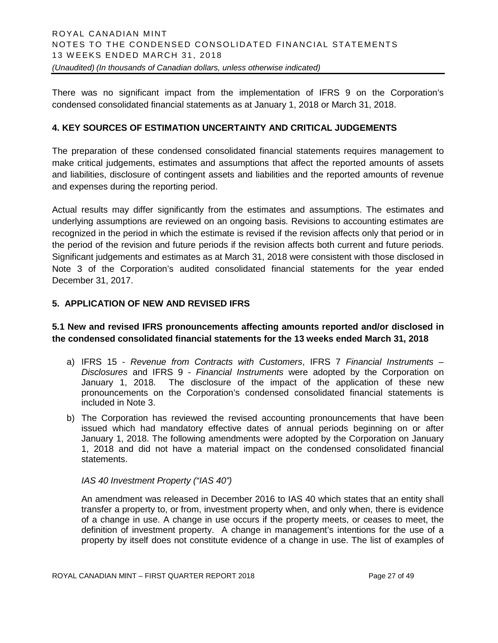There was no significant impact from the implementation of IFRS 9 on the Corporation's condensed consolidated financial statements as at January 1, 2018 or March 31, 2018.

# **4. KEY SOURCES OF ESTIMATION UNCERTAINTY AND CRITICAL JUDGEMENTS**

The preparation of these condensed consolidated financial statements requires management to make critical judgements, estimates and assumptions that affect the reported amounts of assets and liabilities, disclosure of contingent assets and liabilities and the reported amounts of revenue and expenses during the reporting period.

Actual results may differ significantly from the estimates and assumptions. The estimates and underlying assumptions are reviewed on an ongoing basis. Revisions to accounting estimates are recognized in the period in which the estimate is revised if the revision affects only that period or in the period of the revision and future periods if the revision affects both current and future periods. Significant judgements and estimates as at March 31, 2018 were consistent with those disclosed in Note 3 of the Corporation's audited consolidated financial statements for the year ended December 31, 2017.

# **5. APPLICATION OF NEW AND REVISED IFRS**

# **5.1 New and revised IFRS pronouncements affecting amounts reported and/or disclosed in the condensed consolidated financial statements for the 13 weeks ended March 31, 2018**

- a) IFRS 15 *Revenue from Contracts with Customers*, IFRS 7 *Financial Instruments – Disclosures* and IFRS 9 - *Financial Instruments* were adopted by the Corporation on January 1, 2018. The disclosure of the impact of the application of these new pronouncements on the Corporation's condensed consolidated financial statements is included in Note 3.
- b) The Corporation has reviewed the revised accounting pronouncements that have been issued which had mandatory effective dates of annual periods beginning on or after January 1, 2018. The following amendments were adopted by the Corporation on January 1, 2018 and did not have a material impact on the condensed consolidated financial statements.

#### *IAS 40 Investment Property ("IAS 40")*

An amendment was released in December 2016 to IAS 40 which states that an entity shall transfer a property to, or from, investment property when, and only when, there is evidence of a change in use. A change in use occurs if the property meets, or ceases to meet, the definition of investment property. A change in management's intentions for the use of a property by itself does not constitute evidence of a change in use. The list of examples of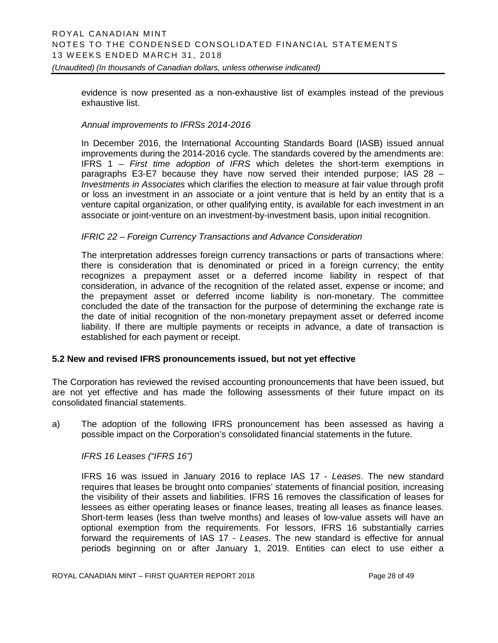evidence is now presented as a non-exhaustive list of examples instead of the previous exhaustive list.

#### *Annual improvements to IFRSs 2014-2016*

In December 2016, the International Accounting Standards Board (IASB) issued annual improvements during the 2014-2016 cycle. The standards covered by the amendments are: IFRS 1 – *First time adoption of IFRS* which deletes the short-term exemptions in paragraphs E3-E7 because they have now served their intended purpose; IAS 28 – *Investments in Associates* which clarifies the election to measure at fair value through profit or loss an investment in an associate or a joint venture that is held by an entity that is a venture capital organization, or other qualifying entity, is available for each investment in an associate or joint-venture on an investment-by-investment basis, upon initial recognition.

#### *IFRIC 22 – Foreign Currency Transactions and Advance Consideration*

The interpretation addresses foreign currency transactions or parts of transactions where: there is consideration that is denominated or priced in a foreign currency; the entity recognizes a prepayment asset or a deferred income liability in respect of that consideration, in advance of the recognition of the related asset, expense or income; and the prepayment asset or deferred income liability is non-monetary. The committee concluded the date of the transaction for the purpose of determining the exchange rate is the date of initial recognition of the non-monetary prepayment asset or deferred income liability. If there are multiple payments or receipts in advance, a date of transaction is established for each payment or receipt.

#### **5.2 New and revised IFRS pronouncements issued, but not yet effective**

The Corporation has reviewed the revised accounting pronouncements that have been issued, but are not yet effective and has made the following assessments of their future impact on its consolidated financial statements.

a) The adoption of the following IFRS pronouncement has been assessed as having a possible impact on the Corporation's consolidated financial statements in the future.

*IFRS 16 Leases ("IFRS 16")*

IFRS 16 was issued in January 2016 to replace IAS 17 - *Leases*. The new standard requires that leases be brought onto companies' statements of financial position*,* increasing the visibility of their assets and liabilities. IFRS 16 removes the classification of leases for lessees as either operating leases or finance leases, treating all leases as finance leases. Short-term leases (less than twelve months) and leases of low-value assets will have an optional exemption from the requirements. For lessors, IFRS 16 substantially carries forward the requirements of IAS 17 - *Leases*. The new standard is effective for annual periods beginning on or after January 1, 2019. Entities can elect to use either a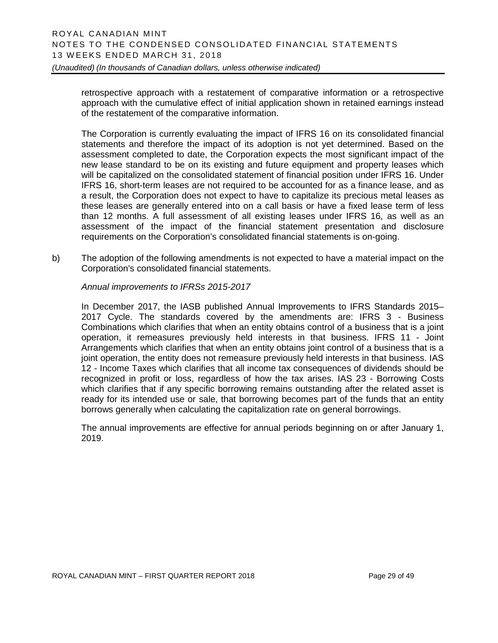retrospective approach with a restatement of comparative information or a retrospective approach with the cumulative effect of initial application shown in retained earnings instead of the restatement of the comparative information.

The Corporation is currently evaluating the impact of IFRS 16 on its consolidated financial statements and therefore the impact of its adoption is not yet determined. Based on the assessment completed to date, the Corporation expects the most significant impact of the new lease standard to be on its existing and future equipment and property leases which will be capitalized on the consolidated statement of financial position under IFRS 16. Under IFRS 16, short-term leases are not required to be accounted for as a finance lease, and as a result, the Corporation does not expect to have to capitalize its precious metal leases as these leases are generally entered into on a call basis or have a fixed lease term of less than 12 months. A full assessment of all existing leases under IFRS 16, as well as an assessment of the impact of the financial statement presentation and disclosure requirements on the Corporation's consolidated financial statements is on-going.

b) The adoption of the following amendments is not expected to have a material impact on the Corporation's consolidated financial statements.

*Annual improvements to IFRSs 2015-2017*

In December 2017, the IASB published Annual Improvements to IFRS Standards 2015– 2017 Cycle. The standards covered by the amendments are: IFRS 3 - Business Combinations which clarifies that when an entity obtains control of a business that is a joint operation, it remeasures previously held interests in that business. IFRS 11 - Joint Arrangements which clarifies that when an entity obtains joint control of a business that is a joint operation, the entity does not remeasure previously held interests in that business. IAS 12 - Income Taxes which clarifies that all income tax consequences of dividends should be recognized in profit or loss, regardless of how the tax arises. IAS 23 - Borrowing Costs which clarifies that if any specific borrowing remains outstanding after the related asset is ready for its intended use or sale, that borrowing becomes part of the funds that an entity borrows generally when calculating the capitalization rate on general borrowings.

The annual improvements are effective for annual periods beginning on or after January 1, 2019.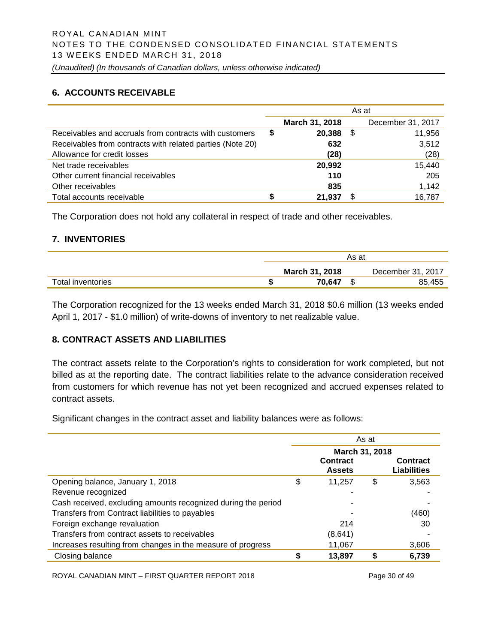# **6. ACCOUNTS RECEIVABLE**

|                                                           |   |                | As at |                   |
|-----------------------------------------------------------|---|----------------|-------|-------------------|
|                                                           |   | March 31, 2018 |       | December 31, 2017 |
| Receivables and accruals from contracts with customers    | S | 20,388         | \$    | 11,956            |
| Receivables from contracts with related parties (Note 20) |   | 632            |       | 3,512             |
| Allowance for credit losses                               |   | (28)           |       | (28)              |
| Net trade receivables                                     |   | 20,992         |       | 15,440            |
| Other current financial receivables                       |   | 110            |       | 205               |
| Other receivables                                         |   | 835            |       | 1,142             |
| Total accounts receivable                                 |   | 21.937         |       | 16,787            |

The Corporation does not hold any collateral in respect of trade and other receivables.

#### **7. INVENTORIES**

|                   |                | As at |                   |
|-------------------|----------------|-------|-------------------|
|                   | March 31, 2018 |       | December 31, 2017 |
| Total inventories | 70.647         |       | 85,455            |

The Corporation recognized for the 13 weeks ended March 31, 2018 \$0.6 million (13 weeks ended April 1, 2017 - \$1.0 million) of write-downs of inventory to net realizable value.

# **8. CONTRACT ASSETS AND LIABILITIES**

The contract assets relate to the Corporation's rights to consideration for work completed, but not billed as at the reporting date. The contract liabilities relate to the advance consideration received from customers for which revenue has not yet been recognized and accrued expenses related to contract assets.

Significant changes in the contract asset and liability balances were as follows:

|                                                               | As at          |                           |    |                                       |  |  |
|---------------------------------------------------------------|----------------|---------------------------|----|---------------------------------------|--|--|
|                                                               | March 31, 2018 |                           |    |                                       |  |  |
|                                                               |                | Contract<br><b>Assets</b> |    | <b>Contract</b><br><b>Liabilities</b> |  |  |
| Opening balance, January 1, 2018                              | \$             | 11.257                    | \$ | 3,563                                 |  |  |
| Revenue recognized                                            |                |                           |    |                                       |  |  |
| Cash received, excluding amounts recognized during the period |                |                           |    |                                       |  |  |
| Transfers from Contract liabilities to payables               |                |                           |    | (460)                                 |  |  |
| Foreign exchange revaluation                                  |                | 214                       |    | 30                                    |  |  |
| Transfers from contract assets to receivables                 |                | (8,641)                   |    |                                       |  |  |
| Increases resulting from changes in the measure of progress   |                | 11,067                    |    | 3,606                                 |  |  |
| Closing balance                                               |                | 13,897                    |    | 6,739                                 |  |  |

ROYAL CANADIAN MINT – FIRST QUARTER REPORT 2018 Page 30 of 49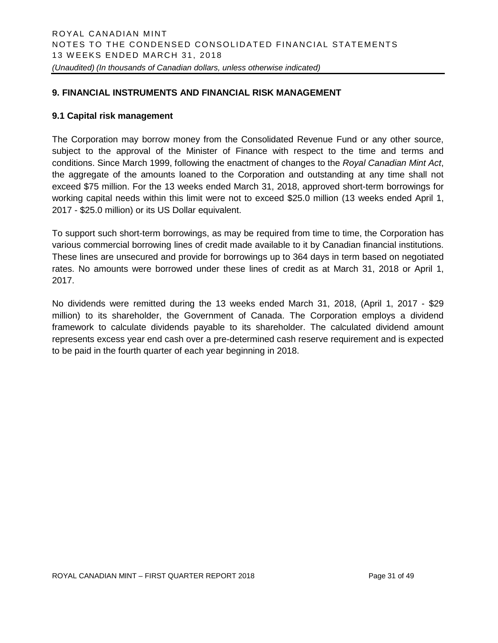#### **9. FINANCIAL INSTRUMENTS AND FINANCIAL RISK MANAGEMENT**

#### **9.1 Capital risk management**

The Corporation may borrow money from the Consolidated Revenue Fund or any other source, subject to the approval of the Minister of Finance with respect to the time and terms and conditions. Since March 1999, following the enactment of changes to the *Royal Canadian Mint Act*, the aggregate of the amounts loaned to the Corporation and outstanding at any time shall not exceed \$75 million. For the 13 weeks ended March 31, 2018, approved short-term borrowings for working capital needs within this limit were not to exceed \$25.0 million (13 weeks ended April 1, 2017 - \$25.0 million) or its US Dollar equivalent.

To support such short-term borrowings, as may be required from time to time, the Corporation has various commercial borrowing lines of credit made available to it by Canadian financial institutions. These lines are unsecured and provide for borrowings up to 364 days in term based on negotiated rates. No amounts were borrowed under these lines of credit as at March 31, 2018 or April 1, 2017.

No dividends were remitted during the 13 weeks ended March 31, 2018, (April 1, 2017 - \$29 million) to its shareholder, the Government of Canada. The Corporation employs a dividend framework to calculate dividends payable to its shareholder. The calculated dividend amount represents excess year end cash over a pre-determined cash reserve requirement and is expected to be paid in the fourth quarter of each year beginning in 2018.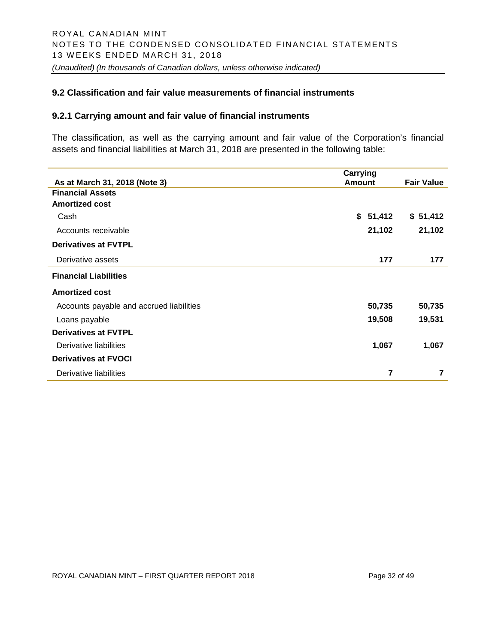#### **9.2 Classification and fair value measurements of financial instruments**

#### **9.2.1 Carrying amount and fair value of financial instruments**

The classification, as well as the carrying amount and fair value of the Corporation's financial assets and financial liabilities at March 31, 2018 are presented in the following table:

|                                          | Carrying      |                   |
|------------------------------------------|---------------|-------------------|
| As at March 31, 2018 (Note 3)            | <b>Amount</b> | <b>Fair Value</b> |
| <b>Financial Assets</b>                  |               |                   |
| <b>Amortized cost</b>                    |               |                   |
| Cash                                     | \$51,412      | \$51,412          |
| Accounts receivable                      | 21,102        | 21,102            |
| <b>Derivatives at FVTPL</b>              |               |                   |
| Derivative assets                        | 177           | 177               |
| <b>Financial Liabilities</b>             |               |                   |
| <b>Amortized cost</b>                    |               |                   |
| Accounts payable and accrued liabilities | 50,735        | 50,735            |
| Loans payable                            | 19,508        | 19,531            |
| <b>Derivatives at FVTPL</b>              |               |                   |
| Derivative liabilities                   | 1,067         | 1,067             |
| <b>Derivatives at FVOCI</b>              |               |                   |
| Derivative liabilities                   | 7             | 7                 |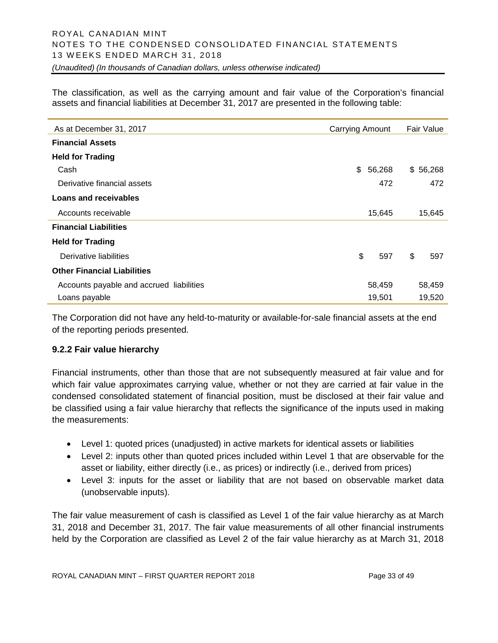The classification, as well as the carrying amount and fair value of the Corporation's financial assets and financial liabilities at December 31, 2017 are presented in the following table:

| As at December 31, 2017                  | Carrying Amount | Fair Value |
|------------------------------------------|-----------------|------------|
| <b>Financial Assets</b>                  |                 |            |
| <b>Held for Trading</b>                  |                 |            |
| Cash                                     | \$<br>56,268    | \$56,268   |
| Derivative financial assets              | 472             | 472        |
| Loans and receivables                    |                 |            |
| Accounts receivable                      | 15,645          | 15,645     |
| <b>Financial Liabilities</b>             |                 |            |
| <b>Held for Trading</b>                  |                 |            |
| Derivative liabilities                   | \$<br>597       | \$<br>597  |
| <b>Other Financial Liabilities</b>       |                 |            |
| Accounts payable and accrued liabilities | 58,459          | 58,459     |
| Loans payable                            | 19,501          | 19,520     |

The Corporation did not have any held-to-maturity or available-for-sale financial assets at the end of the reporting periods presented.

#### **9.2.2 Fair value hierarchy**

Financial instruments, other than those that are not subsequently measured at fair value and for which fair value approximates carrying value, whether or not they are carried at fair value in the condensed consolidated statement of financial position, must be disclosed at their fair value and be classified using a fair value hierarchy that reflects the significance of the inputs used in making the measurements:

- Level 1: quoted prices (unadjusted) in active markets for identical assets or liabilities
- Level 2: inputs other than quoted prices included within Level 1 that are observable for the asset or liability, either directly (i.e., as prices) or indirectly (i.e., derived from prices)
- Level 3: inputs for the asset or liability that are not based on observable market data (unobservable inputs).

The fair value measurement of cash is classified as Level 1 of the fair value hierarchy as at March 31, 2018 and December 31, 2017. The fair value measurements of all other financial instruments held by the Corporation are classified as Level 2 of the fair value hierarchy as at March 31, 2018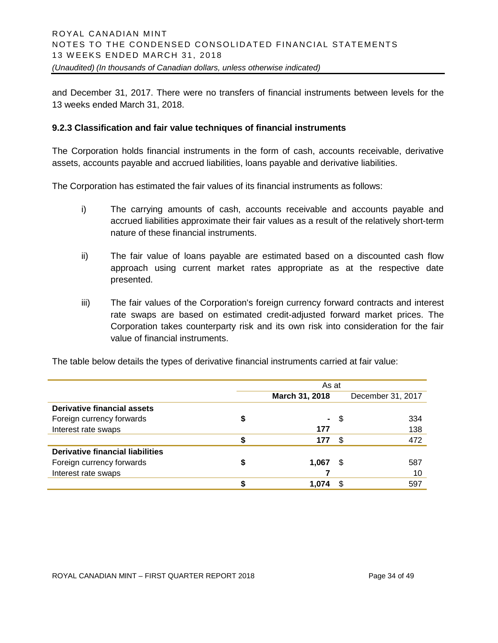and December 31, 2017. There were no transfers of financial instruments between levels for the 13 weeks ended March 31, 2018.

#### **9.2.3 Classification and fair value techniques of financial instruments**

The Corporation holds financial instruments in the form of cash, accounts receivable, derivative assets, accounts payable and accrued liabilities, loans payable and derivative liabilities.

The Corporation has estimated the fair values of its financial instruments as follows:

- i) The carrying amounts of cash, accounts receivable and accounts payable and accrued liabilities approximate their fair values as a result of the relatively short-term nature of these financial instruments.
- ii) The fair value of loans payable are estimated based on a discounted cash flow approach using current market rates appropriate as at the respective date presented.
- iii) The fair values of the Corporation's foreign currency forward contracts and interest rate swaps are based on estimated credit-adjusted forward market prices. The Corporation takes counterparty risk and its own risk into consideration for the fair value of financial instruments.

|                                  | As at |                |      |                   |  |
|----------------------------------|-------|----------------|------|-------------------|--|
|                                  |       | March 31, 2018 |      | December 31, 2017 |  |
| Derivative financial assets      |       |                |      |                   |  |
| Foreign currency forwards        | \$    | ۰.             | - \$ | 334               |  |
| Interest rate swaps              |       | 177            |      | 138               |  |
|                                  |       | 177            | -\$  | 472               |  |
| Derivative financial liabilities |       |                |      |                   |  |
| Foreign currency forwards        | \$    | 1,067          | - \$ | 587               |  |
| Interest rate swaps              |       |                |      | 10                |  |
|                                  |       | 1.074          | \$.  | 597               |  |

The table below details the types of derivative financial instruments carried at fair value: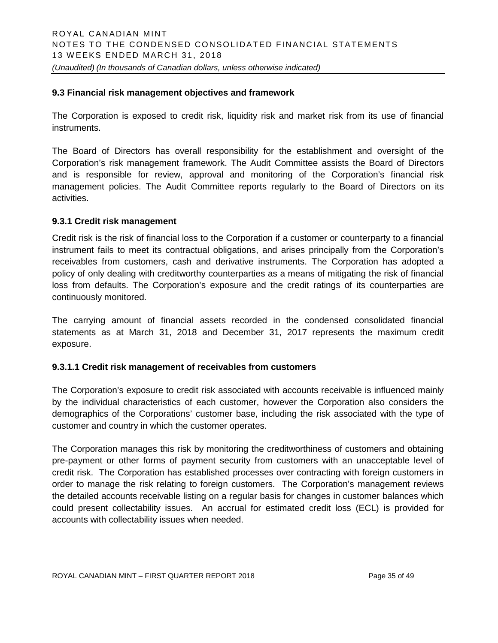#### **9.3 Financial risk management objectives and framework**

The Corporation is exposed to credit risk, liquidity risk and market risk from its use of financial instruments.

The Board of Directors has overall responsibility for the establishment and oversight of the Corporation's risk management framework. The Audit Committee assists the Board of Directors and is responsible for review, approval and monitoring of the Corporation's financial risk management policies. The Audit Committee reports regularly to the Board of Directors on its activities.

#### **9.3.1 Credit risk management**

Credit risk is the risk of financial loss to the Corporation if a customer or counterparty to a financial instrument fails to meet its contractual obligations, and arises principally from the Corporation's receivables from customers, cash and derivative instruments. The Corporation has adopted a policy of only dealing with creditworthy counterparties as a means of mitigating the risk of financial loss from defaults. The Corporation's exposure and the credit ratings of its counterparties are continuously monitored.

The carrying amount of financial assets recorded in the condensed consolidated financial statements as at March 31, 2018 and December 31, 2017 represents the maximum credit exposure.

#### **9.3.1.1 Credit risk management of receivables from customers**

The Corporation's exposure to credit risk associated with accounts receivable is influenced mainly by the individual characteristics of each customer, however the Corporation also considers the demographics of the Corporations' customer base, including the risk associated with the type of customer and country in which the customer operates.

The Corporation manages this risk by monitoring the creditworthiness of customers and obtaining pre-payment or other forms of payment security from customers with an unacceptable level of credit risk. The Corporation has established processes over contracting with foreign customers in order to manage the risk relating to foreign customers. The Corporation's management reviews the detailed accounts receivable listing on a regular basis for changes in customer balances which could present collectability issues. An accrual for estimated credit loss (ECL) is provided for accounts with collectability issues when needed.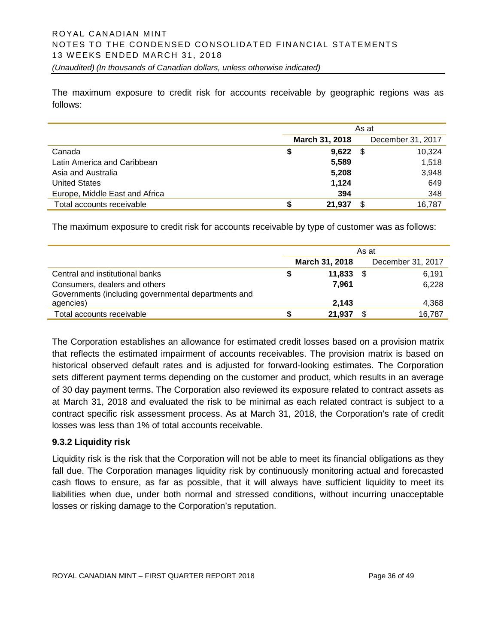The maximum exposure to credit risk for accounts receivable by geographic regions was as follows:

|                                | As at |                |      |                   |
|--------------------------------|-------|----------------|------|-------------------|
|                                |       | March 31, 2018 |      | December 31, 2017 |
| Canada                         | S     | 9,622          | - \$ | 10.324            |
| Latin America and Caribbean    |       | 5,589          |      | 1,518             |
| Asia and Australia             |       | 5,208          |      | 3,948             |
| <b>United States</b>           |       | 1,124          |      | 649               |
| Europe, Middle East and Africa |       | 394            |      | 348               |
| Total accounts receivable      |       | 21,937         | S    | 16,787            |

The maximum exposure to credit risk for accounts receivable by type of customer was as follows:

| As at |        |                |                   |
|-------|--------|----------------|-------------------|
|       |        |                | December 31, 2017 |
|       | 11.833 |                | 6,191             |
|       | 7.961  |                | 6,228             |
|       |        |                |                   |
|       | 2.143  |                | 4,368             |
|       | 21,937 |                | 16,787            |
|       |        | March 31, 2018 |                   |

The Corporation establishes an allowance for estimated credit losses based on a provision matrix that reflects the estimated impairment of accounts receivables. The provision matrix is based on historical observed default rates and is adjusted for forward-looking estimates. The Corporation sets different payment terms depending on the customer and product, which results in an average of 30 day payment terms. The Corporation also reviewed its exposure related to contract assets as at March 31, 2018 and evaluated the risk to be minimal as each related contract is subject to a contract specific risk assessment process. As at March 31, 2018, the Corporation's rate of credit losses was less than 1% of total accounts receivable.

#### **9.3.2 Liquidity risk**

Liquidity risk is the risk that the Corporation will not be able to meet its financial obligations as they fall due. The Corporation manages liquidity risk by continuously monitoring actual and forecasted cash flows to ensure, as far as possible, that it will always have sufficient liquidity to meet its liabilities when due, under both normal and stressed conditions, without incurring unacceptable losses or risking damage to the Corporation's reputation.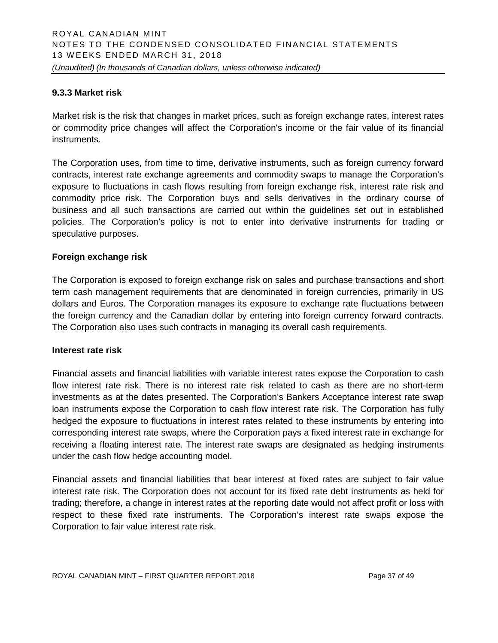#### **9.3.3 Market risk**

Market risk is the risk that changes in market prices, such as foreign exchange rates, interest rates or commodity price changes will affect the Corporation's income or the fair value of its financial instruments.

The Corporation uses, from time to time, derivative instruments, such as foreign currency forward contracts, interest rate exchange agreements and commodity swaps to manage the Corporation's exposure to fluctuations in cash flows resulting from foreign exchange risk, interest rate risk and commodity price risk. The Corporation buys and sells derivatives in the ordinary course of business and all such transactions are carried out within the guidelines set out in established policies. The Corporation's policy is not to enter into derivative instruments for trading or speculative purposes.

#### **Foreign exchange risk**

The Corporation is exposed to foreign exchange risk on sales and purchase transactions and short term cash management requirements that are denominated in foreign currencies, primarily in US dollars and Euros. The Corporation manages its exposure to exchange rate fluctuations between the foreign currency and the Canadian dollar by entering into foreign currency forward contracts. The Corporation also uses such contracts in managing its overall cash requirements.

#### **Interest rate risk**

Financial assets and financial liabilities with variable interest rates expose the Corporation to cash flow interest rate risk. There is no interest rate risk related to cash as there are no short-term investments as at the dates presented. The Corporation's Bankers Acceptance interest rate swap loan instruments expose the Corporation to cash flow interest rate risk. The Corporation has fully hedged the exposure to fluctuations in interest rates related to these instruments by entering into corresponding interest rate swaps, where the Corporation pays a fixed interest rate in exchange for receiving a floating interest rate. The interest rate swaps are designated as hedging instruments under the cash flow hedge accounting model.

Financial assets and financial liabilities that bear interest at fixed rates are subject to fair value interest rate risk. The Corporation does not account for its fixed rate debt instruments as held for trading; therefore, a change in interest rates at the reporting date would not affect profit or loss with respect to these fixed rate instruments. The Corporation's interest rate swaps expose the Corporation to fair value interest rate risk.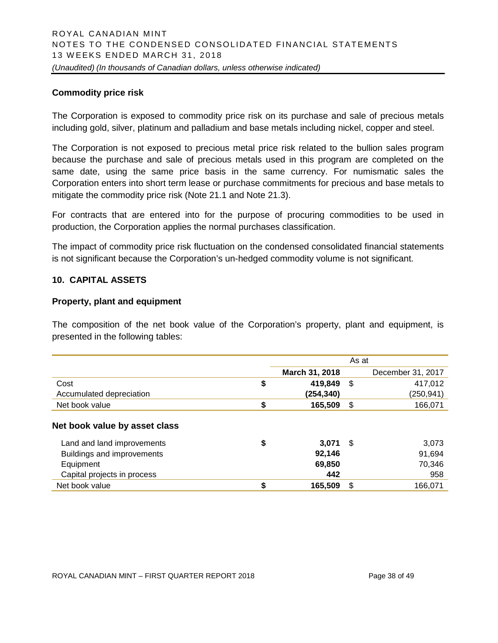#### **Commodity price risk**

The Corporation is exposed to commodity price risk on its purchase and sale of precious metals including gold, silver, platinum and palladium and base metals including nickel, copper and steel.

The Corporation is not exposed to precious metal price risk related to the bullion sales program because the purchase and sale of precious metals used in this program are completed on the same date, using the same price basis in the same currency. For numismatic sales the Corporation enters into short term lease or purchase commitments for precious and base metals to mitigate the commodity price risk (Note 21.1 and Note 21.3).

For contracts that are entered into for the purpose of procuring commodities to be used in production, the Corporation applies the normal purchases classification.

The impact of commodity price risk fluctuation on the condensed consolidated financial statements is not significant because the Corporation's un-hedged commodity volume is not significant.

#### **10. CAPITAL ASSETS**

#### **Property, plant and equipment**

The composition of the net book value of the Corporation's property, plant and equipment, is presented in the following tables:

|                               |                | As at |                   |
|-------------------------------|----------------|-------|-------------------|
|                               | March 31, 2018 |       | December 31, 2017 |
| Cost                          | \$<br>419,849  | \$    | 417,012           |
| Accumulated depreciation      | (254, 340)     |       | (250, 941)        |
| Net book value                | \$<br>165,509  | \$    | 166,071           |
| Net book value by asset class |                |       |                   |
| Land and land improvements    | \$<br>3.071    | -\$   | 3,073             |
| Buildings and improvements    | 92.146         |       | 91,694            |
| Equipment                     | 69,850         |       | 70,346            |
| Capital projects in process   | 442            |       | 958               |
| Net book value                | \$<br>165,509  | \$    | 166.071           |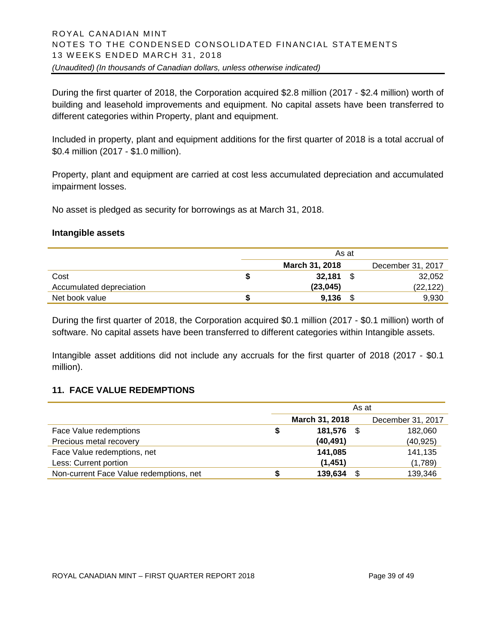During the first quarter of 2018, the Corporation acquired \$2.8 million (2017 - \$2.4 million) worth of building and leasehold improvements and equipment. No capital assets have been transferred to different categories within Property, plant and equipment.

Included in property, plant and equipment additions for the first quarter of 2018 is a total accrual of \$0.4 million (2017 - \$1.0 million).

Property, plant and equipment are carried at cost less accumulated depreciation and accumulated impairment losses.

No asset is pledged as security for borrowings as at March 31, 2018.

#### **Intangible assets**

|                          | As at                 |     |                   |  |
|--------------------------|-----------------------|-----|-------------------|--|
|                          | <b>March 31, 2018</b> |     | December 31, 2017 |  |
| Cost                     | 32.181                | \$. | 32,052            |  |
| Accumulated depreciation | (23, 045)             |     | (22, 122)         |  |
| Net book value           | 9,136                 |     | 9,930             |  |

During the first quarter of 2018, the Corporation acquired \$0.1 million (2017 - \$0.1 million) worth of software. No capital assets have been transferred to different categories within Intangible assets.

Intangible asset additions did not include any accruals for the first quarter of 2018 (2017 - \$0.1 million).

#### **11. FACE VALUE REDEMPTIONS**

|                                         | As at |                       |      |                   |
|-----------------------------------------|-------|-----------------------|------|-------------------|
|                                         |       | <b>March 31, 2018</b> |      | December 31, 2017 |
| Face Value redemptions                  |       | 181,576               | - \$ | 182,060           |
| Precious metal recovery                 |       | (40, 491)             |      | (40, 925)         |
| Face Value redemptions, net             |       | 141,085               |      | 141,135           |
| Less: Current portion                   |       | (1,451)               |      | (1,789)           |
| Non-current Face Value redemptions, net |       | 139,634               | S    | 139,346           |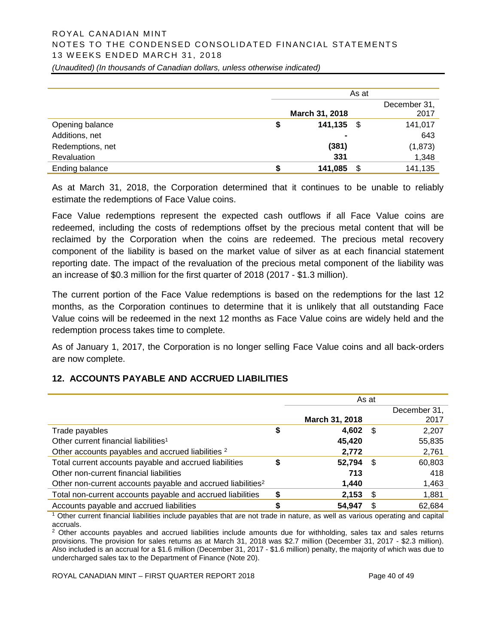# ROYAL CANADIAN MINT NOTES TO THE CONDENSED CONSOLIDATED FINANCIAL STATEMENTS 1 3 WEEKS ENDED MARCH 31, 2018

*(Unaudited) (In thousands of Canadian dollars, unless otherwise indicated)*

|                  | As at           |                      |  |  |
|------------------|-----------------|----------------------|--|--|
|                  | March 31, 2018  | December 31,<br>2017 |  |  |
| Opening balance  | 141,135<br>- \$ | 141,017              |  |  |
| Additions, net   | $\blacksquare$  | 643                  |  |  |
| Redemptions, net | (381)           | (1,873)              |  |  |
| Revaluation      | 331             | 1,348                |  |  |
| Ending balance   | 141,085<br>\$.  | 141,135              |  |  |

As at March 31, 2018, the Corporation determined that it continues to be unable to reliably estimate the redemptions of Face Value coins.

Face Value redemptions represent the expected cash outflows if all Face Value coins are redeemed, including the costs of redemptions offset by the precious metal content that will be reclaimed by the Corporation when the coins are redeemed. The precious metal recovery component of the liability is based on the market value of silver as at each financial statement reporting date. The impact of the revaluation of the precious metal component of the liability was an increase of \$0.3 million for the first quarter of 2018 (2017 - \$1.3 million).

The current portion of the Face Value redemptions is based on the redemptions for the last 12 months, as the Corporation continues to determine that it is unlikely that all outstanding Face Value coins will be redeemed in the next 12 months as Face Value coins are widely held and the redemption process takes time to complete.

As of January 1, 2017, the Corporation is no longer selling Face Value coins and all back-orders are now complete.

#### **12. ACCOUNTS PAYABLE AND ACCRUED LIABILITIES**

|                                                                         | As at |                       |      |              |
|-------------------------------------------------------------------------|-------|-----------------------|------|--------------|
|                                                                         |       |                       |      | December 31, |
|                                                                         |       | <b>March 31, 2018</b> |      | 2017         |
| Trade payables                                                          | \$    | 4,602                 | - \$ | 2,207        |
| Other current financial liabilities <sup>1</sup>                        |       | 45,420                |      | 55,835       |
| Other accounts payables and accrued liabilities <sup>2</sup>            |       | 2,772                 |      | 2,761        |
| Total current accounts payable and accrued liabilities                  | \$    | 52,794                | - \$ | 60,803       |
| Other non-current financial liabilities                                 |       | 713                   |      | 418          |
| Other non-current accounts payable and accrued liabilities <sup>2</sup> |       | 1,440                 |      | 1,463        |
| Total non-current accounts payable and accrued liabilities              | S     | 2,153                 | - \$ | 1,881        |
| Accounts payable and accrued liabilities                                | \$    | 54.947                |      | 62,684       |

<sup>1</sup> Other current financial liabilities include payables that are not trade in nature, as well as various operating and capital accruals.

<sup>2</sup> Other accounts payables and accrued liabilities include amounts due for withholding, sales tax and sales returns provisions. The provision for sales returns as at March 31, 2018 was \$2.7 million (December 31, 2017 - \$2.3 million). Also included is an accrual for a \$1.6 million (December 31, 2017 - \$1.6 million) penalty, the majority of which was due to undercharged sales tax to the Department of Finance (Note 20).

ROYAL CANADIAN MINT – FIRST QUARTER REPORT 2018 Page 40 of 49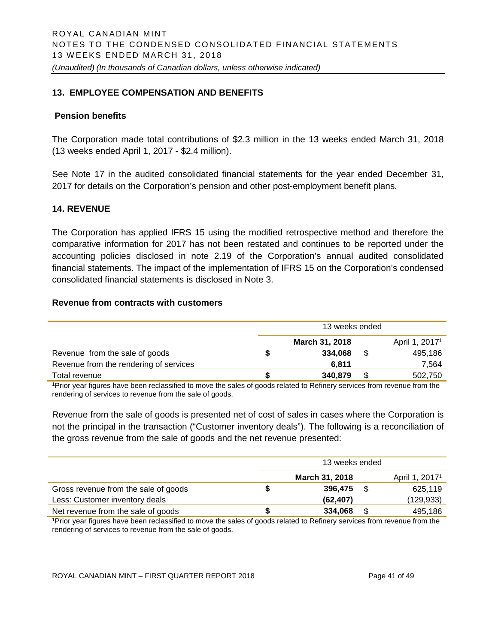# **13. EMPLOYEE COMPENSATION AND BENEFITS**

#### **Pension benefits**

The Corporation made total contributions of \$2.3 million in the 13 weeks ended March 31, 2018 (13 weeks ended April 1, 2017 - \$2.4 million).

See Note 17 in the audited consolidated financial statements for the year ended December 31, 2017 for details on the Corporation's pension and other post-employment benefit plans.

#### **14. REVENUE**

The Corporation has applied IFRS 15 using the modified retrospective method and therefore the comparative information for 2017 has not been restated and continues to be reported under the accounting policies disclosed in note 2.19 of the Corporation's annual audited consolidated financial statements. The impact of the implementation of IFRS 15 on the Corporation's condensed consolidated financial statements is disclosed in Note 3.

#### **Revenue from contracts with customers**

|                                        | 13 weeks ended |                            |  |         |  |
|----------------------------------------|----------------|----------------------------|--|---------|--|
|                                        |                | April 1, 2017 <sup>1</sup> |  |         |  |
| Revenue from the sale of goods         |                | 334.068                    |  | 495,186 |  |
| Revenue from the rendering of services |                | 6.811                      |  | 7.564   |  |
| Total revenue                          |                | 340,879                    |  | 502,750 |  |

<sup>1</sup>Prior year figures have been reclassified to move the sales of goods related to Refinery services from revenue from the rendering of services to revenue from the sale of goods.

Revenue from the sale of goods is presented net of cost of sales in cases where the Corporation is not the principal in the transaction ("Customer inventory deals"). The following is a reconciliation of the gross revenue from the sale of goods and the net revenue presented:

|                                      | 13 weeks ended |                            |     |            |  |
|--------------------------------------|----------------|----------------------------|-----|------------|--|
|                                      |                | April 1, 2017 <sup>1</sup> |     |            |  |
| Gross revenue from the sale of goods |                | 396,475                    | \$. | 625,119    |  |
| Less: Customer inventory deals       |                | (62, 407)                  |     | (129, 933) |  |
| Net revenue from the sale of goods   |                | 334,068                    | S   | 495,186    |  |

1Prior year figures have been reclassified to move the sales of goods related to Refinery services from revenue from the rendering of services to revenue from the sale of goods.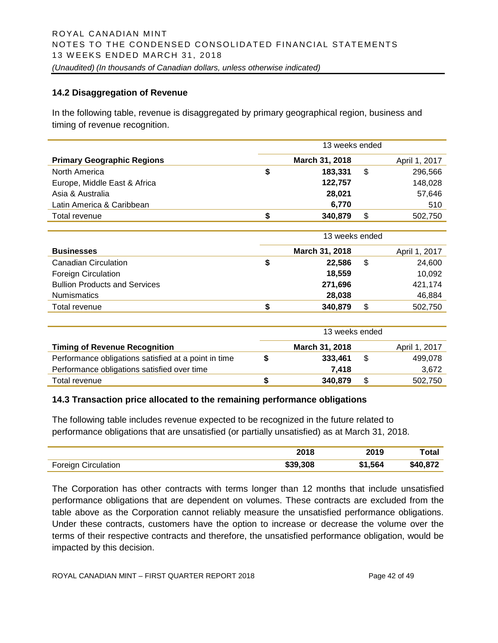#### **14.2 Disaggregation of Revenue**

In the following table, revenue is disaggregated by primary geographical region, business and timing of revenue recognition.

|                                                      | 13 weeks ended |                |                |               |  |
|------------------------------------------------------|----------------|----------------|----------------|---------------|--|
| <b>Primary Geographic Regions</b>                    |                | March 31, 2018 |                | April 1, 2017 |  |
| North America                                        | \$             | 183,331        | $\mathfrak{S}$ | 296,566       |  |
| Europe, Middle East & Africa                         |                | 122,757        |                | 148,028       |  |
| Asia & Australia                                     |                | 28,021         |                | 57,646        |  |
| Latin America & Caribbean                            |                | 6,770          |                | 510           |  |
| Total revenue                                        | \$             | 340,879        | \$             | 502,750       |  |
|                                                      |                |                |                |               |  |
|                                                      | 13 weeks ended |                |                |               |  |
| <b>Businesses</b>                                    |                | March 31, 2018 |                | April 1, 2017 |  |
| <b>Canadian Circulation</b>                          | \$             | 22,586         | $\mathfrak{L}$ | 24,600        |  |
| <b>Foreign Circulation</b>                           |                | 18,559         |                | 10,092        |  |
| <b>Bullion Products and Services</b>                 |                | 271,696        |                | 421,174       |  |
| <b>Numismatics</b>                                   |                | 28,038         |                | 46,884        |  |
| Total revenue                                        | \$             | 340,879        | \$             | 502,750       |  |
|                                                      |                |                |                |               |  |
|                                                      |                | 13 weeks ended |                |               |  |
| <b>Timing of Revenue Recognition</b>                 |                | March 31, 2018 |                | April 1, 2017 |  |
| Performance obligations satisfied at a point in time | \$             | 333,461        | \$             | 499,078       |  |
| Performance obligations satisfied over time          |                | 7,418          |                | 3,672         |  |

#### **14.3 Transaction price allocated to the remaining performance obligations**

The following table includes revenue expected to be recognized in the future related to performance obligations that are unsatisfied (or partially unsatisfied) as at March 31, 2018.

|                                                  | 2018     | nna r<br>2U I J | `ota.    |
|--------------------------------------------------|----------|-----------------|----------|
| <b>Earnian</b><br><b>Circulation</b><br>.reinn 1 | \$39.308 | 564             | \$40.872 |

Total revenue **\$ 340,879** \$ 502,750

The Corporation has other contracts with terms longer than 12 months that include unsatisfied performance obligations that are dependent on volumes. These contracts are excluded from the table above as the Corporation cannot reliably measure the unsatisfied performance obligations. Under these contracts, customers have the option to increase or decrease the volume over the terms of their respective contracts and therefore, the unsatisfied performance obligation, would be impacted by this decision.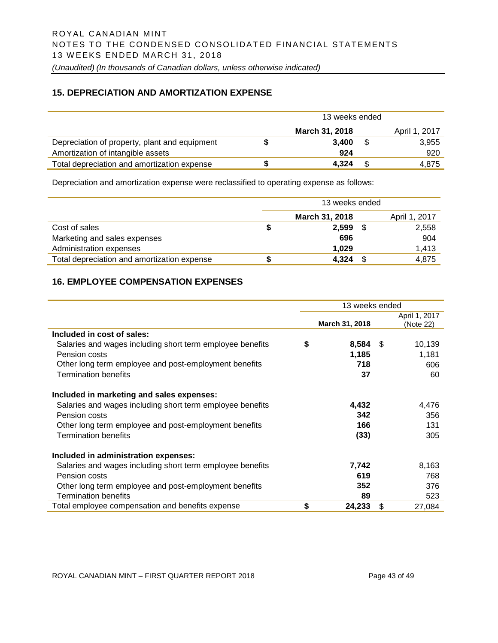#### **15. DEPRECIATION AND AMORTIZATION EXPENSE**

|                                               | 13 weeks ended |                |  |               |
|-----------------------------------------------|----------------|----------------|--|---------------|
|                                               |                | March 31, 2018 |  | April 1, 2017 |
| Depreciation of property, plant and equipment |                | 3.400          |  | 3,955         |
| Amortization of intangible assets             |                | 924            |  | 920           |
| Total depreciation and amortization expense   |                | 4.324          |  | 4.875         |

Depreciation and amortization expense were reclassified to operating expense as follows:

|                                             |   | 13 weeks ended |      |               |
|---------------------------------------------|---|----------------|------|---------------|
|                                             |   | March 31, 2018 |      | April 1, 2017 |
| Cost of sales                               | S | 2,599          | - \$ | 2,558         |
| Marketing and sales expenses                |   | 696            |      | 904           |
| Administration expenses                     |   | 1,029          |      | 1,413         |
| Total depreciation and amortization expense | S | 4.324          | - \$ | 4,875         |

# **16. EMPLOYEE COMPENSATION EXPENSES**

|                                                           | 13 weeks ended   |               |
|-----------------------------------------------------------|------------------|---------------|
|                                                           |                  | April 1, 2017 |
|                                                           | March 31, 2018   | (Note 22)     |
| Included in cost of sales:                                |                  |               |
| Salaries and wages including short term employee benefits | \$<br>$8,584$ \$ | 10,139        |
| Pension costs                                             | 1,185            | 1,181         |
| Other long term employee and post-employment benefits     | 718              | 606           |
| <b>Termination benefits</b>                               | 37               | 60            |
| Included in marketing and sales expenses:                 |                  |               |
| Salaries and wages including short term employee benefits | 4,432            | 4,476         |
| Pension costs                                             | 342              | 356           |
| Other long term employee and post-employment benefits     | 166              | 131           |
| <b>Termination benefits</b>                               | (33)             | 305           |
| Included in administration expenses:                      |                  |               |
| Salaries and wages including short term employee benefits | 7,742            | 8,163         |
| Pension costs                                             | 619              | 768           |
| Other long term employee and post-employment benefits     | 352              | 376           |
| <b>Termination benefits</b>                               | 89               | 523           |
| Total employee compensation and benefits expense          | \$<br>24,233     | \$<br>27,084  |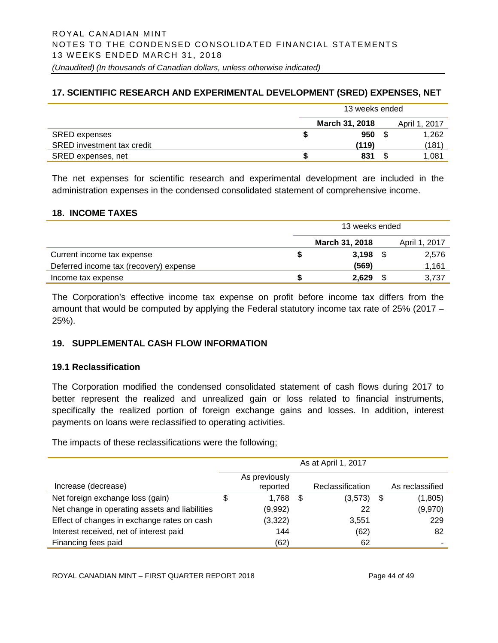# **17. SCIENTIFIC RESEARCH AND EXPERIMENTAL DEVELOPMENT (SRED) EXPENSES, NET**

|                            | 13 weeks ended |                       |  |               |
|----------------------------|----------------|-----------------------|--|---------------|
|                            |                | <b>March 31, 2018</b> |  | April 1, 2017 |
| <b>SRED expenses</b>       |                | 950                   |  | 1.262         |
| SRED investment tax credit |                | (119)                 |  | (181)         |
| SRED expenses, net         | S              | 831                   |  | 1.081         |

The net expenses for scientific research and experimental development are included in the administration expenses in the condensed consolidated statement of comprehensive income.

#### **18. INCOME TAXES**

|                                        | 13 weeks ended |                       |  |               |  |
|----------------------------------------|----------------|-----------------------|--|---------------|--|
|                                        |                | <b>March 31, 2018</b> |  | April 1, 2017 |  |
| Current income tax expense             |                | 3.198                 |  | 2,576         |  |
| Deferred income tax (recovery) expense |                | (569)                 |  | 1,161         |  |
| Income tax expense                     |                | 2.629                 |  | 3.737         |  |

The Corporation's effective income tax expense on profit before income tax differs from the amount that would be computed by applying the Federal statutory income tax rate of 25% (2017 – 25%).

# **19. SUPPLEMENTAL CASH FLOW INFORMATION**

#### **19.1 Reclassification**

The Corporation modified the condensed consolidated statement of cash flows during 2017 to better represent the realized and unrealized gain or loss related to financial instruments, specifically the realized portion of foreign exchange gains and losses. In addition, interest payments on loans were reclassified to operating activities.

The impacts of these reclassifications were the following;

|                                                | As at April 1, 2017 |                           |      |                  |  |                 |
|------------------------------------------------|---------------------|---------------------------|------|------------------|--|-----------------|
| Increase (decrease)                            |                     | As previously<br>reported |      | Reclassification |  | As reclassified |
| Net foreign exchange loss (gain)               | \$                  | 1,768                     | - \$ | $(3,573)$ \$     |  | (1,805)         |
| Net change in operating assets and liabilities |                     | (9,992)                   |      | 22               |  | (9,970)         |
| Effect of changes in exchange rates on cash    |                     | (3,322)                   |      | 3,551            |  | 229             |
| Interest received, net of interest paid        |                     | 144                       |      | (62)             |  | 82              |
| Financing fees paid                            |                     | (62)                      |      | 62               |  |                 |

ROYAL CANADIAN MINT – FIRST QUARTER REPORT 2018 Page 44 of 49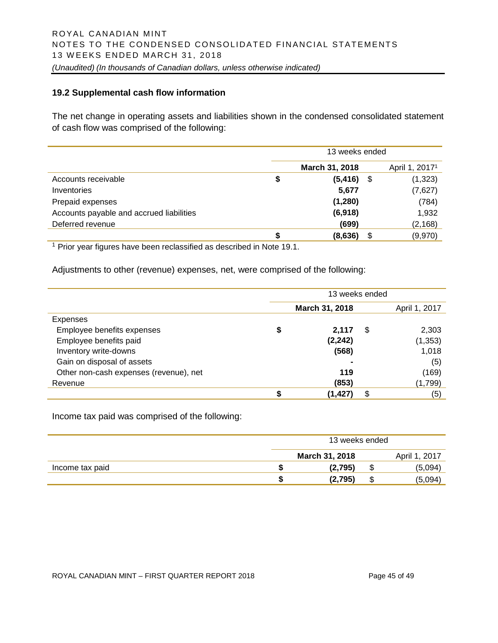#### **19.2 Supplemental cash flow information**

The net change in operating assets and liabilities shown in the condensed consolidated statement of cash flow was comprised of the following:

|                                          | 13 weeks ended |      |                            |  |  |
|------------------------------------------|----------------|------|----------------------------|--|--|
|                                          | March 31, 2018 |      | April 1, 2017 <sup>1</sup> |  |  |
| Accounts receivable                      | \$<br>(5, 416) | - \$ | (1, 323)                   |  |  |
| Inventories                              | 5,677          |      | (7,627)                    |  |  |
| Prepaid expenses                         | (1, 280)       |      | (784)                      |  |  |
| Accounts payable and accrued liabilities | (6,918)        |      | 1,932                      |  |  |
| Deferred revenue                         | (699)          |      | (2, 168)                   |  |  |
|                                          | (8,636)        | S    | (9,970)                    |  |  |

<sup>1</sup> Prior year figures have been reclassified as described in Note 19.1.

Adjustments to other (revenue) expenses, net, were comprised of the following:

|                                        | 13 weeks ended |    |               |  |  |
|----------------------------------------|----------------|----|---------------|--|--|
|                                        | March 31, 2018 |    | April 1, 2017 |  |  |
| Expenses                               |                |    |               |  |  |
| Employee benefits expenses             | \$<br>2,117    | \$ | 2,303         |  |  |
| Employee benefits paid                 | (2, 242)       |    | (1, 353)      |  |  |
| Inventory write-downs                  | (568)          |    | 1,018         |  |  |
| Gain on disposal of assets             |                |    | (5)           |  |  |
| Other non-cash expenses (revenue), net | 119            |    | (169)         |  |  |
| Revenue                                | (853)          |    | (1,799)       |  |  |
|                                        | (1,427)        | \$ | (5)           |  |  |

Income tax paid was comprised of the following:

|                 | 13 weeks ended |  |               |  |
|-----------------|----------------|--|---------------|--|
|                 | March 31, 2018 |  | April 1, 2017 |  |
| Income tax paid | (2,795)        |  | (5,094)       |  |
|                 | (2,795)        |  | (5,094)       |  |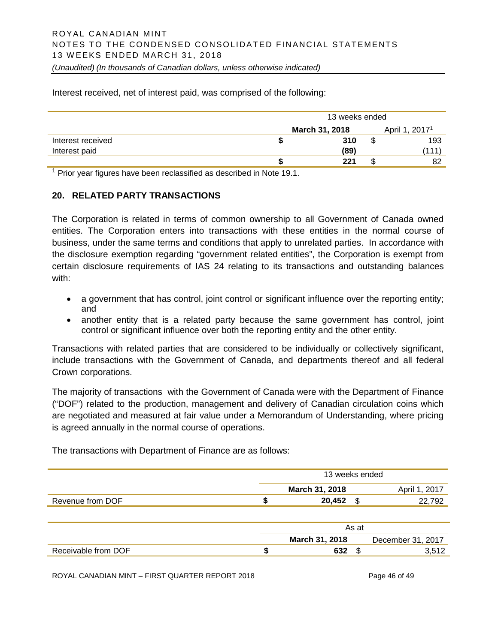Interest received, net of interest paid, was comprised of the following:

|                   | 13 weeks ended |      |    |                            |  |
|-------------------|----------------|------|----|----------------------------|--|
| March 31, 2018    |                |      |    | April 1, 2017 <sup>1</sup> |  |
| Interest received |                | 310  | ъD | 193                        |  |
| Interest paid     |                | (89) |    | (111)                      |  |
|                   |                | 221  | ъD | 82                         |  |

 $1$  Prior year figures have been reclassified as described in Note 19.1.

#### **20. RELATED PARTY TRANSACTIONS**

The Corporation is related in terms of common ownership to all Government of Canada owned entities. The Corporation enters into transactions with these entities in the normal course of business, under the same terms and conditions that apply to unrelated parties. In accordance with the disclosure exemption regarding "government related entities", the Corporation is exempt from certain disclosure requirements of IAS 24 relating to its transactions and outstanding balances with:

- a government that has control, joint control or significant influence over the reporting entity; and
- another entity that is a related party because the same government has control, joint control or significant influence over both the reporting entity and the other entity.

Transactions with related parties that are considered to be individually or collectively significant, include transactions with the Government of Canada, and departments thereof and all federal Crown corporations.

The majority of transactions with the Government of Canada were with the Department of Finance ("DOF") related to the production, management and delivery of Canadian circulation coins which are negotiated and measured at fair value under a Memorandum of Understanding, where pricing is agreed annually in the normal course of operations.

|                     | 13 weeks ended |                |      |                   |  |  |
|---------------------|----------------|----------------|------|-------------------|--|--|
|                     |                | March 31, 2018 |      | April 1, 2017     |  |  |
| Revenue from DOF    |                | 20,452         | - \$ | 22,792            |  |  |
|                     |                |                |      |                   |  |  |
|                     |                | As at          |      |                   |  |  |
|                     |                | March 31, 2018 |      | December 31, 2017 |  |  |
| Receivable from DOF |                | 632            | \$   | 3,512             |  |  |

The transactions with Department of Finance are as follows:

ROYAL CANADIAN MINT – FIRST QUARTER REPORT 2018 Page 46 of 49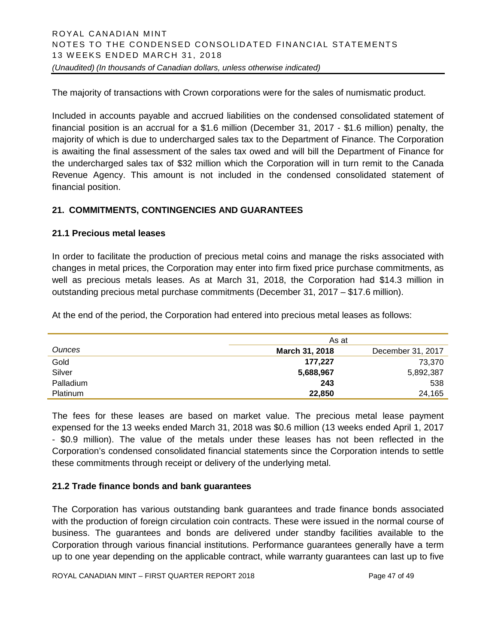The majority of transactions with Crown corporations were for the sales of numismatic product.

Included in accounts payable and accrued liabilities on the condensed consolidated statement of financial position is an accrual for a \$1.6 million (December 31, 2017 - \$1.6 million) penalty, the majority of which is due to undercharged sales tax to the Department of Finance. The Corporation is awaiting the final assessment of the sales tax owed and will bill the Department of Finance for the undercharged sales tax of \$32 million which the Corporation will in turn remit to the Canada Revenue Agency. This amount is not included in the condensed consolidated statement of financial position.

# **21. COMMITMENTS, CONTINGENCIES AND GUARANTEES**

# **21.1 Precious metal leases**

In order to facilitate the production of precious metal coins and manage the risks associated with changes in metal prices, the Corporation may enter into firm fixed price purchase commitments, as well as precious metals leases. As at March 31, 2018, the Corporation had \$14.3 million in outstanding precious metal purchase commitments (December 31, 2017 – \$17.6 million).

At the end of the period, the Corporation had entered into precious metal leases as follows:

|                 | As at                 |                   |  |
|-----------------|-----------------------|-------------------|--|
| Ounces          | <b>March 31, 2018</b> | December 31, 2017 |  |
| Gold            | 177.227               | 73.370            |  |
| Silver          | 5,688,967             | 5,892,387         |  |
| Palladium       | 243                   | 538               |  |
| <b>Platinum</b> | 22,850                | 24,165            |  |

The fees for these leases are based on market value. The precious metal lease payment expensed for the 13 weeks ended March 31, 2018 was \$0.6 million (13 weeks ended April 1, 2017 - \$0.9 million). The value of the metals under these leases has not been reflected in the Corporation's condensed consolidated financial statements since the Corporation intends to settle these commitments through receipt or delivery of the underlying metal.

# **21.2 Trade finance bonds and bank guarantees**

The Corporation has various outstanding bank guarantees and trade finance bonds associated with the production of foreign circulation coin contracts. These were issued in the normal course of business. The guarantees and bonds are delivered under standby facilities available to the Corporation through various financial institutions. Performance guarantees generally have a term up to one year depending on the applicable contract, while warranty guarantees can last up to five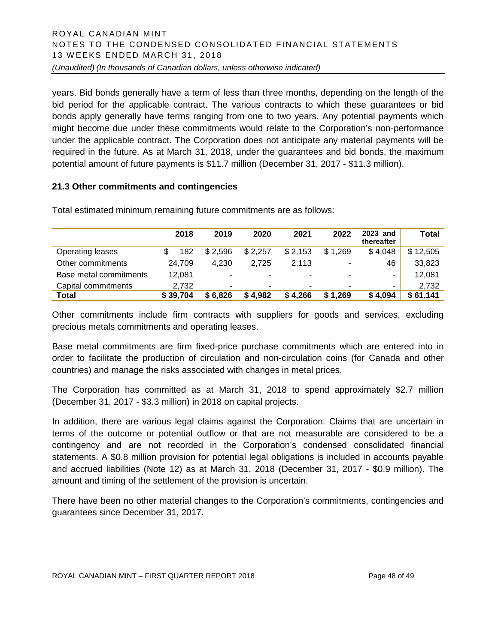years. Bid bonds generally have a term of less than three months, depending on the length of the bid period for the applicable contract. The various contracts to which these guarantees or bid bonds apply generally have terms ranging from one to two years. Any potential payments which might become due under these commitments would relate to the Corporation's non-performance under the applicable contract. The Corporation does not anticipate any material payments will be required in the future. As at March 31, 2018, under the guarantees and bid bonds, the maximum potential amount of future payments is \$11.7 million (December 31, 2017 - \$11.3 million).

# **21.3 Other commitments and contingencies**

|                        | 2018     | 2019    | 2020                     | 2021    | 2022                     | 2023 and<br>thereafter | Total    |
|------------------------|----------|---------|--------------------------|---------|--------------------------|------------------------|----------|
| Operating leases       | 182      | \$2,596 | \$2,257                  | \$2,153 | \$1,269                  | \$4,048                | \$12,505 |
| Other commitments      | 24.709   | 4.230   | 2.725                    | 2.113   | ٠                        | 46                     | 33,823   |
| Base metal commitments | 12,081   | -       | $\blacksquare$           | -       | $\overline{\phantom{a}}$ | ۰                      | 12,081   |
| Capital commitments    | 2.732    | ۰       | $\overline{\phantom{0}}$ | ۰       | ۰                        | ۰                      | 2.732    |
| Total                  | \$39,704 | \$6,826 | \$4,982                  | \$4,266 | \$1,269                  | \$4,094                | \$61,141 |

Total estimated minimum remaining future commitments are as follows:

Other commitments include firm contracts with suppliers for goods and services, excluding precious metals commitments and operating leases.

Base metal commitments are firm fixed-price purchase commitments which are entered into in order to facilitate the production of circulation and non-circulation coins (for Canada and other countries) and manage the risks associated with changes in metal prices.

The Corporation has committed as at March 31, 2018 to spend approximately \$2.7 million (December 31, 2017 - \$3.3 million) in 2018 on capital projects.

In addition, there are various legal claims against the Corporation. Claims that are uncertain in terms of the outcome or potential outflow or that are not measurable are considered to be a contingency and are not recorded in the Corporation's condensed consolidated financial statements. A \$0.8 million provision for potential legal obligations is included in accounts payable and accrued liabilities (Note 12) as at March 31, 2018 (December 31, 2017 - \$0.9 million). The amount and timing of the settlement of the provision is uncertain.

There have been no other material changes to the Corporation's commitments, contingencies and guarantees since December 31, 2017.